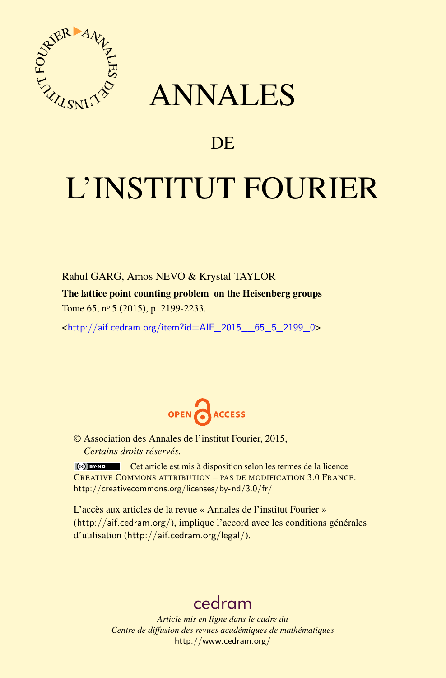

## ANNALES

### **DE**

# L'INSTITUT FOURIER

Rahul GARG, Amos NEVO & Krystal TAYLOR

The lattice point counting problem on the Heisenberg groups Tome 65, nº 5 (2015), p. 2199-2233.

<[http://aif.cedram.org/item?id=AIF\\_2015\\_\\_65\\_5\\_2199\\_0](http://aif.cedram.org/item?id=AIF_2015__65_5_2199_0)>



© Association des Annales de l'institut Fourier, 2015, *Certains droits réservés.*

Cet article est mis à disposition selon les termes de la licence CREATIVE COMMONS ATTRIBUTION – PAS DE MODIFICATION 3.0 FRANCE. <http://creativecommons.org/licenses/by-nd/3.0/fr/>

L'accès aux articles de la revue « Annales de l'institut Fourier » (<http://aif.cedram.org/>), implique l'accord avec les conditions générales d'utilisation (<http://aif.cedram.org/legal/>).

## [cedram](http://www.cedram.org/)

*Article mis en ligne dans le cadre du Centre de diffusion des revues académiques de mathématiques* <http://www.cedram.org/>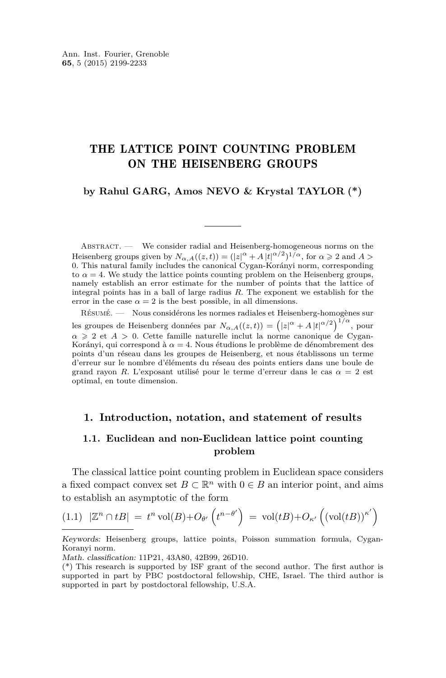#### <span id="page-1-0"></span>THE LATTICE POINT COUNTING PROBLEM ON THE HEISENBERG GROUPS

#### **by Rahul GARG, Amos NEVO & Krystal TAYLOR (\*)**

Abstract. — We consider radial and Heisenberg-homogeneous norms on the Heisenberg groups given by  $N_{\alpha,A}((z,t)) = (|z|^{\alpha} + A |t|^{\alpha/2})^{1/\alpha}$ , for  $\alpha \ge 2$  and  $A >$ 0. This natural family includes the canonical Cygan-Korányi norm, corresponding to  $\alpha = 4$ . We study the lattice points counting problem on the Heisenberg groups, namely establish an error estimate for the number of points that the lattice of integral points has in a ball of large radius *R*. The exponent we establish for the error in the case  $\alpha = 2$  is the best possible, in all dimensions.

Résumé. — Nous considérons les normes radiales et Heisenberg-homogènes sur les groupes de Heisenberg données par  $N_{\alpha,A}((z,t)) = (|z|^{\alpha} + A|t|^{\alpha/2})^{1/\alpha}$ , pour  $\alpha \geq 2$  et  $A > 0$ . Cette famille naturelle inclut la norme canonique de Cygan-Korányi, qui correspond à  $\alpha = 4$ . Nous étudions le problème de dénombrement des points d'un réseau dans les groupes de Heisenberg, et nous établissons un terme d'erreur sur le nombre d'éléments du réseau des points entiers dans une boule de grand rayon *R*. L'exposant utilisé pour le terme d'erreur dans le cas *α* = 2 est optimal, en toute dimension.

#### **1. Introduction, notation, and statement of results**

#### **1.1. Euclidean and non-Euclidean lattice point counting problem**

The classical lattice point counting problem in Euclidean space considers a fixed compact convex set  $B \subset \mathbb{R}^n$  with  $0 \in B$  an interior point, and aims to establish an asymptotic of the form

$$
(1.1) \quad |\mathbb{Z}^n \cap tB| = t^n \operatorname{vol}(B) + O_{\theta'}\left(t^{n-\theta'}\right) = \operatorname{vol}(tB) + O_{\kappa'}\left(\left(\operatorname{vol}(tB)\right)^{\kappa'}\right)
$$

Keywords: Heisenberg groups, lattice points, Poisson summation formula, Cygan-Koranyi norm.

Math. classification: 11P21, 43A80, 42B99, 26D10.

<sup>(\*)</sup> This research is supported by ISF grant of the second author. The first author is supported in part by PBC postdoctoral fellowship, CHE, Israel. The third author is supported in part by postdoctoral fellowship, U.S.A.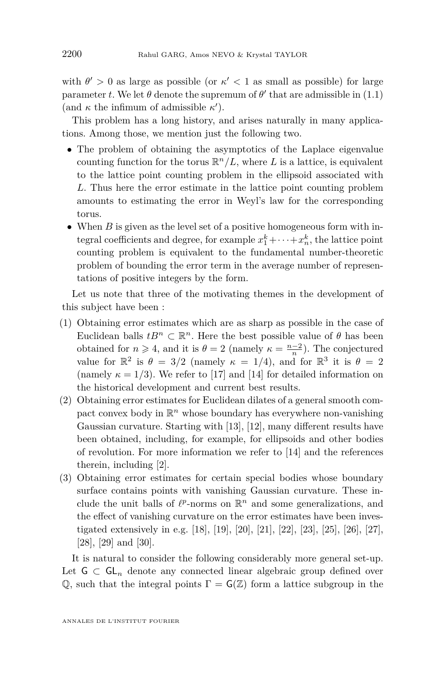with  $\theta' > 0$  as large as possible (or  $\kappa' < 1$  as small as possible) for large parameter *t*. We let  $\theta$  denote the supremum of  $\theta'$  that are admissible in [\(1.1\)](#page-1-0) (and  $\kappa$  the infimum of admissible  $\kappa'$ ).

This problem has a long history, and arises naturally in many applications. Among those, we mention just the following two.

- The problem of obtaining the asymptotics of the Laplace eigenvalue counting function for the torus  $\mathbb{R}^n/L$ , where L is a lattice, is equivalent to the lattice point counting problem in the ellipsoid associated with *L*. Thus here the error estimate in the lattice point counting problem amounts to estimating the error in Weyl's law for the corresponding torus.
- When *B* is given as the level set of a positive homogeneous form with integral coefficients and degree, for example  $x_1^k + \cdots + x_n^k$ , the lattice point counting problem is equivalent to the fundamental number-theoretic problem of bounding the error term in the average number of representations of positive integers by the form.

Let us note that three of the motivating themes in the development of this subject have been :

- (1) Obtaining error estimates which are as sharp as possible in the case of Euclidean balls  $tB^n \subset \mathbb{R}^n$ . Here the best possible value of  $\theta$  has been obtained for  $n \ge 4$ , and it is  $\theta = 2$  (namely  $\kappa = \frac{n-2}{n}$ ). The conjectured value for  $\mathbb{R}^2$  is  $\theta = 3/2$  (namely  $\kappa = 1/4$ ), and for  $\mathbb{R}^3$  it is  $\theta = 2$ (namely  $\kappa = 1/3$ ). We refer to [\[17\]](#page-34-0) and [\[14\]](#page-34-0) for detailed information on the historical development and current best results.
- (2) Obtaining error estimates for Euclidean dilates of a general smooth compact convex body in  $\mathbb{R}^n$  whose boundary has everywhere non-vanishing Gaussian curvature. Starting with [\[13\]](#page-33-0), [\[12\]](#page-33-0), many different results have been obtained, including, for example, for ellipsoids and other bodies of revolution. For more information we refer to [\[14\]](#page-34-0) and the references therein, including [\[2\]](#page-33-0).
- (3) Obtaining error estimates for certain special bodies whose boundary surface contains points with vanishing Gaussian curvature. These include the unit balls of  $\ell^p$ -norms on  $\mathbb{R}^n$  and some generalizations, and the effect of vanishing curvature on the error estimates have been investigated extensively in e.g. [\[18\]](#page-34-0), [\[19\]](#page-34-0), [\[20\]](#page-34-0), [\[21\]](#page-34-0), [\[22\]](#page-34-0), [\[23\]](#page-34-0), [\[25\]](#page-34-0), [\[26\]](#page-34-0), [\[27\]](#page-34-0), [\[28\]](#page-34-0), [\[29\]](#page-34-0) and [\[30\]](#page-34-0).

It is natural to consider the following considerably more general set-up. Let  $G \subset GL_n$  denote any connected linear algebraic group defined over Q, such that the integral points  $\Gamma = G(\mathbb{Z})$  form a lattice subgroup in the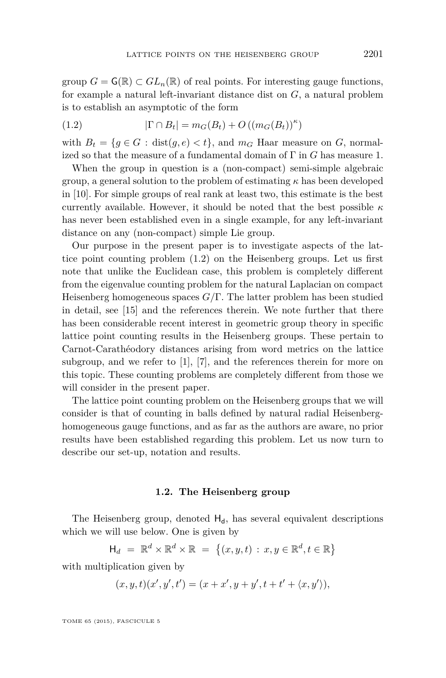group  $G = \mathsf{G}(\mathbb{R}) \subset GL_n(\mathbb{R})$  of real points. For interesting gauge functions, for example a natural left-invariant distance dist on *G*, a natural problem is to establish an asymptotic of the form

(1.2) 
$$
|\Gamma \cap B_t| = m_G(B_t) + O((m_G(B_t))^\kappa)
$$

with  $B_t = \{g \in G : dist(g, e) < t\}$ , and  $m_G$  Haar measure on *G*, normalized so that the measure of a fundamental domain of Γ in *G* has measure 1.

When the group in question is a (non-compact) semi-simple algebraic group, a general solution to the problem of estimating *κ* has been developed in [\[10\]](#page-33-0). For simple groups of real rank at least two, this estimate is the best currently available. However, it should be noted that the best possible *κ* has never been established even in a single example, for any left-invariant distance on any (non-compact) simple Lie group.

Our purpose in the present paper is to investigate aspects of the lattice point counting problem (1.2) on the Heisenberg groups. Let us first note that unlike the Euclidean case, this problem is completely different from the eigenvalue counting problem for the natural Laplacian on compact Heisenberg homogeneous spaces *G/*Γ. The latter problem has been studied in detail, see [\[15\]](#page-34-0) and the references therein. We note further that there has been considerable recent interest in geometric group theory in specific lattice point counting results in the Heisenberg groups. These pertain to Carnot-Carathéodory distances arising from word metrics on the lattice subgroup, and we refer to [\[1\]](#page-33-0), [\[7\]](#page-33-0), and the references therein for more on this topic. These counting problems are completely different from those we will consider in the present paper.

The lattice point counting problem on the Heisenberg groups that we will consider is that of counting in balls defined by natural radial Heisenberghomogeneous gauge functions, and as far as the authors are aware, no prior results have been established regarding this problem. Let us now turn to describe our set-up, notation and results.

#### **1.2. The Heisenberg group**

The Heisenberg group, denoted  $H_d$ , has several equivalent descriptions which we will use below. One is given by

$$
\mathsf{H}_d = \mathbb{R}^d \times \mathbb{R}^d \times \mathbb{R} = \{ (x, y, t) : x, y \in \mathbb{R}^d, t \in \mathbb{R} \}
$$

with multiplication given by

$$
(x, y, t)(x', y', t') = (x + x', y + y', t + t' + \langle x, y' \rangle),
$$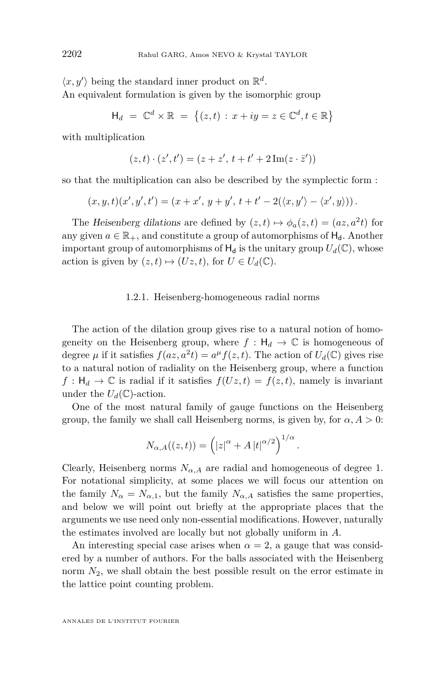$\langle x, y' \rangle$  being the standard inner product on  $\mathbb{R}^d$ . An equivalent formulation is given by the isomorphic group

$$
\mathsf{H}_d = \mathbb{C}^d \times \mathbb{R} = \{(z, t) : x + iy = z \in \mathbb{C}^d, t \in \mathbb{R}\}
$$

with multiplication

$$
(z,t) \cdot (z',t') = (z + z', t + t' + 2 \operatorname{Im}(z \cdot \bar{z}'))
$$

so that the multiplication can also be described by the symplectic form :

$$
(x,y,t)(x',y',t')=(x+x',y+y',t+t'-2(\langle x,y'\rangle-\langle x',y\rangle)).
$$

The Heisenberg dilations are defined by  $(z, t) \mapsto \phi_a(z, t) = (az, a^2t)$  for any given  $a \in \mathbb{R}_+$ , and constitute a group of automorphisms of  $H_d$ . Another important group of automorphisms of  $H_d$  is the unitary group  $U_d(\mathbb{C})$ , whose action is given by  $(z, t) \mapsto (Uz, t)$ , for  $U \in U_d(\mathbb{C})$ .

#### 1.2.1. Heisenberg-homogeneous radial norms

The action of the dilation group gives rise to a natural notion of homogeneity on the Heisenberg group, where  $f : H_d \to \mathbb{C}$  is homogeneous of degree  $\mu$  if it satisfies  $f(az, a^2t) = a^{\mu} f(z, t)$ . The action of  $U_d(\mathbb{C})$  gives rise to a natural notion of radiality on the Heisenberg group, where a function  $f: H_d \to \mathbb{C}$  is radial if it satisfies  $f(Uz, t) = f(z, t)$ , namely is invariant under the  $U_d(\mathbb{C})$ -action.

One of the most natural family of gauge functions on the Heisenberg group, the family we shall call Heisenberg norms, is given by, for  $\alpha$ ,  $A > 0$ :

$$
N_{\alpha,A}((z,t)) = (|z|^{\alpha} + A |t|^{\alpha/2})^{1/\alpha}.
$$

Clearly, Heisenberg norms  $N_{\alpha,A}$  are radial and homogeneous of degree 1. For notational simplicity, at some places we will focus our attention on the family  $N_{\alpha} = N_{\alpha,1}$ , but the family  $N_{\alpha,A}$  satisfies the same properties, and below we will point out briefly at the appropriate places that the arguments we use need only non-essential modifications. However, naturally the estimates involved are locally but not globally uniform in *A*.

An interesting special case arises when  $\alpha = 2$ , a gauge that was considered by a number of authors. For the balls associated with the Heisenberg norm  $N_2$ , we shall obtain the best possible result on the error estimate in the lattice point counting problem.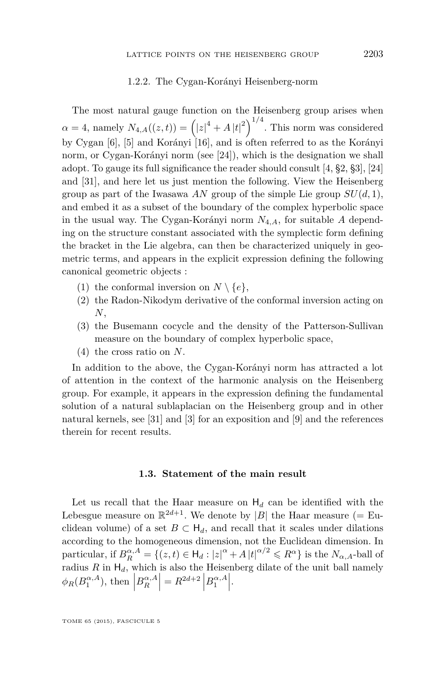#### 1.2.2. The Cygan-Korányi Heisenberg-norm

The most natural gauge function on the Heisenberg group arises when  $\alpha = 4$ , namely  $N_{4, A}((z, t)) = (|z|^4 + A |t|^2)^{1/4}$ . This norm was considered by Cygan [\[6\]](#page-33-0), [\[5\]](#page-33-0) and Korányi [\[16\]](#page-34-0), and is often referred to as the Korányi norm, or Cygan-Korányi norm (see [\[24\]](#page-34-0)), which is the designation we shall adopt. To gauge its full significance the reader should consult [\[4,](#page-33-0) §2, §3], [\[24\]](#page-34-0) and [\[31\]](#page-34-0), and here let us just mention the following. View the Heisenberg group as part of the Iwasawa *AN* group of the simple Lie group  $SU(d,1)$ , and embed it as a subset of the boundary of the complex hyperbolic space in the usual way. The Cygan-Korányi norm *N*4*,A*, for suitable *A* depending on the structure constant associated with the symplectic form defining the bracket in the Lie algebra, can then be characterized uniquely in geometric terms, and appears in the explicit expression defining the following canonical geometric objects :

- (1) the conformal inversion on  $N \setminus \{e\},\$
- (2) the Radon-Nikodym derivative of the conformal inversion acting on *N*,
- (3) the Busemann cocycle and the density of the Patterson-Sullivan measure on the boundary of complex hyperbolic space,
- (4) the cross ratio on *N*.

In addition to the above, the Cygan-Korányi norm has attracted a lot of attention in the context of the harmonic analysis on the Heisenberg group. For example, it appears in the expression defining the fundamental solution of a natural sublaplacian on the Heisenberg group and in other natural kernels, see [\[31\]](#page-34-0) and [\[3\]](#page-33-0) for an exposition and [\[9\]](#page-33-0) and the references therein for recent results.

#### **1.3. Statement of the main result**

Let us recall that the Haar measure on  $H_d$  can be identified with the Lebesgue measure on  $\mathbb{R}^{2d+1}$ . We denote by |B| the Haar measure (= Euclidean volume) of a set  $B \subset H_d$ , and recall that it scales under dilations according to the homogeneous dimension, not the Euclidean dimension. In particular, if  $B_R^{\alpha, A} = \{(z, t) \in H_d : |z|^{\alpha} + A |t|^{\alpha/2} \leq R^{\alpha}\}\$ is the  $N_{\alpha, A}$ -ball of radius  $R$  in  $H_d$ , which is also the Heisenberg dilate of the unit ball namely  $\phi_R(B_1^{\alpha,A}), \text{ then } \left| B_R^{\alpha,A} \right| = R^{2d+2} \left| B_1^{\alpha,A} \right|.$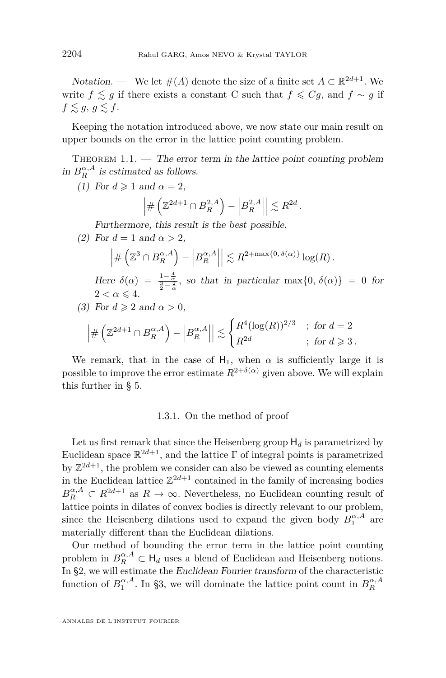<span id="page-6-0"></span>Notation. — We let  $#(A)$  denote the size of a finite set  $A \subset \mathbb{R}^{2d+1}$ . We write  $f \leq g$  if there exists a constant C such that  $f \leq Cg$ , and  $f \sim g$  if  $f \lesssim g, g \lesssim f$ .

Keeping the notation introduced above, we now state our main result on upper bounds on the error in the lattice point counting problem.

THEOREM  $1.1.$  — The error term in the lattice point counting problem in  $B_R^{\alpha,A}$  is estimated as follows.

(1) For  $d \ge 1$  and  $\alpha = 2$ ,

$$
\left| \# \left( \mathbb{Z}^{2d+1} \cap B_R^{2,A} \right) - \left| B_R^{2,A} \right| \right| \lesssim R^{2d}.
$$

Furthermore, this result is the best possible.

(2) For  $d = 1$  and  $\alpha > 2$ ,

$$
\left| \# \left( \mathbb{Z}^3 \cap B^{\alpha, A}_R \right) - \left| B^{\alpha, A}_R \right| \right| \lesssim R^{2 + \max\{0, \delta(\alpha)\}} \log(R) .
$$

Here  $\delta(\alpha) = \frac{1-\frac{4}{\alpha}}{\frac{3}{2}-\frac{2}{\alpha}}$ , so that in particular max $\{0, \delta(\alpha)\} = 0$  for  $2 < \alpha \leqslant 4.$ 

(3) For 
$$
d \geq 2
$$
 and  $\alpha > 0$ ,

$$
\left| \#\left(\mathbb{Z}^{2d+1}\cap B_R^{\alpha,A}\right) - \left|B_R^{\alpha,A}\right| \right| \lesssim \begin{cases} R^4 (\log(R))^{2/3} & ; \text{ for } d=2\\ R^{2d} & ; \text{ for } d\geqslant 3 \,. \end{cases}
$$

We remark, that in the case of  $H_1$ , when  $\alpha$  is sufficiently large it is possible to improve the error estimate  $R^{2+\delta(\alpha)}$  given above. We will explain this further in § [5.](#page-27-0)

#### 1.3.1. On the method of proof

Let us first remark that since the Heisenberg group  $H_d$  is parametrized by Euclidean space  $\mathbb{R}^{2d+1}$ , and the lattice  $\Gamma$  of integral points is parametrized by  $\mathbb{Z}^{2d+1}$ , the problem we consider can also be viewed as counting elements in the Euclidean lattice  $\mathbb{Z}^{2d+1}$  contained in the family of increasing bodies  $B_R^{\alpha,A} \subset R^{2d+1}$  as  $R \to \infty$ . Nevertheless, no Euclidean counting result of lattice points in dilates of convex bodies is directly relevant to our problem, since the Heisenberg dilations used to expand the given body  $B_1^{\alpha,A}$  are materially different than the Euclidean dilations.

Our method of bounding the error term in the lattice point counting problem in  $B_R^{\alpha,A} \subset \mathsf{H}_d$  uses a blend of Euclidean and Heisenberg notions. In §2, we will estimate the Euclidean Fourier transform of the characteristic function of  $B_1^{\alpha,A}$ . In §3, we will dominate the lattice point count in  $B_R^{\alpha,A}$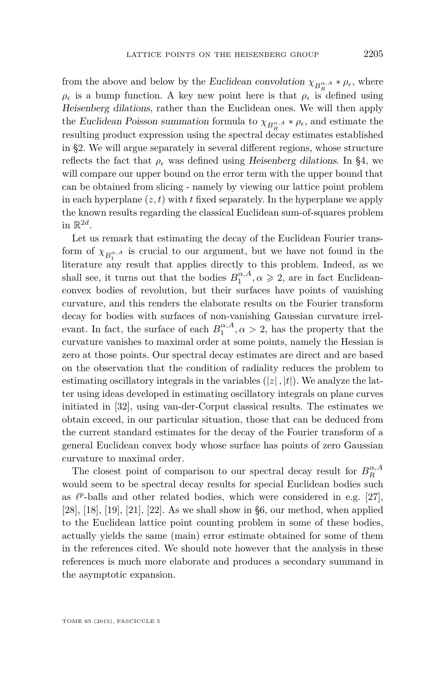<span id="page-7-0"></span>from the above and below by the Euclidean convolution  $\chi_{B_R^{\alpha,A}} * \rho_{\epsilon}$ , where  $\rho_{\epsilon}$  is a bump function. A key new point here is that  $\rho_{\epsilon}$  is defined using Heisenberg dilations, rather than the Euclidean ones. We will then apply the Euclidean Poisson summation formula to  $\chi_{B_R^{\alpha,A}} * \rho_{\epsilon}$ , and estimate the resulting product expression using the spectral decay estimates established in §2. We will argue separately in several different regions, whose structure reflects the fact that  $\rho_{\epsilon}$  was defined using Heisenberg dilations. In §4, we will compare our upper bound on the error term with the upper bound that can be obtained from slicing - namely by viewing our lattice point problem in each hyperplane  $(z, t)$  with  $t$  fixed separately. In the hyperplane we apply the known results regarding the classical Euclidean sum-of-squares problem in  $\mathbb{R}^{2d}$ .

Let us remark that estimating the decay of the Euclidean Fourier transform of  $\chi_{B_1^{\alpha,A}}$  is crucial to our argument, but we have not found in the literature any result that applies directly to this problem. Indeed, as we shall see, it turns out that the bodies  $B_1^{\alpha, A}, \alpha \geq 2$ , are in fact Euclideanconvex bodies of revolution, but their surfaces have points of vanishing curvature, and this renders the elaborate results on the Fourier transform decay for bodies with surfaces of non-vanishing Gaussian curvature irrelevant. In fact, the surface of each  $B_1^{\alpha, A}, \alpha > 2$ , has the property that the curvature vanishes to maximal order at some points, namely the Hessian is zero at those points. Our spectral decay estimates are direct and are based on the observation that the condition of radiality reduces the problem to estimating oscillatory integrals in the variables  $(|z|, |t|)$ . We analyze the latter using ideas developed in estimating oscillatory integrals on plane curves initiated in [\[32\]](#page-34-0), using van-der-Corput classical results. The estimates we obtain exceed, in our particular situation, those that can be deduced from the current standard estimates for the decay of the Fourier transform of a general Euclidean convex body whose surface has points of zero Gaussian curvature to maximal order.

The closest point of comparison to our spectral decay result for  $B_R^{\alpha,A}$ would seem to be spectral decay results for special Euclidean bodies such as  $\ell^p$ -balls and other related bodies, which were considered in e.g. [\[27\]](#page-34-0), [\[28\]](#page-34-0), [\[18\]](#page-34-0), [\[19\]](#page-34-0), [\[21\]](#page-34-0), [\[22\]](#page-34-0). As we shall show in §6, our method, when applied to the Euclidean lattice point counting problem in some of these bodies, actually yields the same (main) error estimate obtained for some of them in the references cited. We should note however that the analysis in these references is much more elaborate and produces a secondary summand in the asymptotic expansion.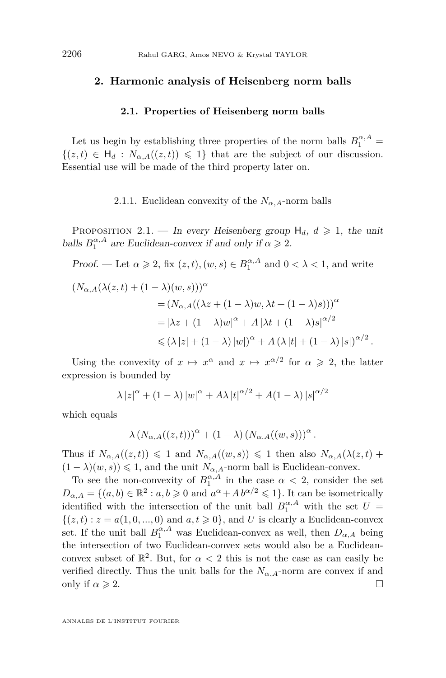#### **2. Harmonic analysis of Heisenberg norm balls**

#### **2.1. Properties of Heisenberg norm balls**

Let us begin by establishing three properties of the norm balls  $B_1^{\alpha,A}$  =  $\{(z,t) \in H_d : N_{\alpha,A}((z,t)) \leq 1\}$  that are the subject of our discussion. Essential use will be made of the third property later on.

#### 2.1.1. Euclidean convexity of the  $N_{\alpha,A}$ -norm balls

PROPOSITION 2.1. — In every Heisenberg group  $H_d$ ,  $d \ge 1$ , the unit balls  $B_1^{\alpha, A}$  are Euclidean-convex if and only if  $\alpha \geq 2$ .

Proof. — Let  $\alpha \geqslant 2$ , fix  $(z, t)$ ,  $(w, s) \in B_1^{\alpha, A}$  and  $0 < \lambda < 1$ , and write

$$
(N_{\alpha,A}(\lambda(z,t) + (1 - \lambda)(w,s)))^{\alpha}
$$
  
=  $(N_{\alpha,A}((\lambda z + (1 - \lambda)w, \lambda t + (1 - \lambda)s)))^{\alpha}$   
=  $|\lambda z + (1 - \lambda)w|^{\alpha} + A |\lambda t + (1 - \lambda)s|^{\alpha/2}$   
 $\leq (\lambda |z| + (1 - \lambda) |w|)^{\alpha} + A (\lambda |t| + (1 - \lambda) |s|)^{\alpha/2}.$ 

Using the convexity of  $x \mapsto x^{\alpha}$  and  $x \mapsto x^{\alpha/2}$  for  $\alpha \geq 2$ , the latter expression is bounded by

$$
\lambda |z|^{\alpha} + (1 - \lambda) |w|^{\alpha} + A\lambda |t|^{\alpha/2} + A(1 - \lambda) |s|^{\alpha/2}
$$

which equals

$$
\lambda \left( N_{\alpha,A}((z,t)) \right)^{\alpha} + \left( 1 - \lambda \right) \left( N_{\alpha,A}((w,s)) \right)^{\alpha}.
$$

Thus if  $N_{\alpha,A}((z,t)) \leq 1$  and  $N_{\alpha,A}((w,s)) \leq 1$  then also  $N_{\alpha,A}(\lambda(z,t))$  $(1 - \lambda)(w, s)$ )  $\leq 1$ , and the unit  $N_{\alpha, A}$ -norm ball is Euclidean-convex.

To see the non-convexity of  $B_1^{\alpha,A}$  in the case  $\alpha < 2$ , consider the set  $D_{\alpha,A} = \{(a,b) \in \mathbb{R}^2 : a,b \geqslant 0 \text{ and } a^{\alpha} + A b^{\alpha/2} \leqslant 1\}.$  It can be isometrically identified with the intersection of the unit ball  $B_1^{\alpha,A}$  with the set  $U =$  $\{(z, t) : z = a(1, 0, ..., 0) \text{ and } a, t \geq 0\}, \text{ and } U \text{ is clearly a Euclidean-convex } \}$ set. If the unit ball  $B_1^{\alpha,A}$  was Euclidean-convex as well, then  $D_{\alpha,A}$  being the intersection of two Euclidean-convex sets would also be a Euclideanconvex subset of  $\mathbb{R}^2$ . But, for  $\alpha < 2$  this is not the case as can easily be verified directly. Thus the unit balls for the  $N_{\alpha,A}$ -norm are convex if and only if  $\alpha \geqslant 2$ .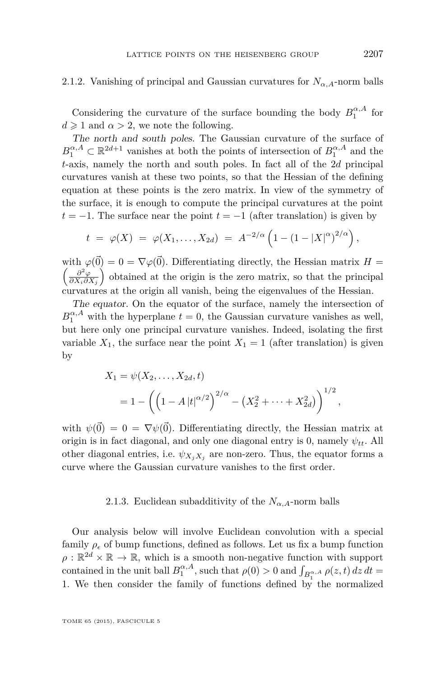#### 2.1.2. Vanishing of principal and Gaussian curvatures for  $N_{\alpha,A}$ -norm balls

Considering the curvature of the surface bounding the body  $B_1^{\alpha,A}$  for  $d \geq 1$  and  $\alpha > 2$ , we note the following.

The north and south poles. The Gaussian curvature of the surface of  $B_1^{\alpha,A} \subset \mathbb{R}^{2d+1}$  vanishes at both the points of intersection of  $B_1^{\alpha,A}$  and the *t*-axis, namely the north and south poles. In fact all of the 2*d* principal curvatures vanish at these two points, so that the Hessian of the defining equation at these points is the zero matrix. In view of the symmetry of the surface, it is enough to compute the principal curvatures at the point  $t = -1$ . The surface near the point  $t = -1$  (after translation) is given by

$$
t = \varphi(X) = \varphi(X_1, ..., X_{2d}) = A^{-2/\alpha} \left( 1 - (1 - |X|^{\alpha})^{2/\alpha} \right),
$$

with  $\varphi(\vec{0}) = 0 = \nabla \varphi(\vec{0})$ . Differentiating directly, the Hessian matrix  $H =$  *∂* <sup>2</sup>*ϕ*  $\frac{\partial^2 \varphi}{\partial X_i \partial X_j}$  obtained at the origin is the zero matrix, so that the principal curvatures at the origin all vanish, being the eigenvalues of the Hessian.

The equator. On the equator of the surface, namely the intersection of  $B_1^{\alpha,A}$  with the hyperplane  $t=0$ , the Gaussian curvature vanishes as well, but here only one principal curvature vanishes. Indeed, isolating the first variable  $X_1$ , the surface near the point  $X_1 = 1$  (after translation) is given by

$$
X_1 = \psi(X_2, \dots, X_{2d}, t)
$$
  
=  $1 - \left( \left( 1 - A |t|^{\alpha/2} \right)^{2/\alpha} - \left( X_2^2 + \dots + X_{2d}^2 \right) \right)^{1/2},$ 

with  $\psi(\vec{0}) = 0 = \nabla \psi(\vec{0})$ . Differentiating directly, the Hessian matrix at origin is in fact diagonal, and only one diagonal entry is 0, namely  $\psi_{tt}$ . All other diagonal entries, i.e.  $\psi_{X_i X_j}$  are non-zero. Thus, the equator forms a curve where the Gaussian curvature vanishes to the first order.

#### 2.1.3. Euclidean subadditivity of the  $N_{\alpha,A}$ -norm balls

Our analysis below will involve Euclidean convolution with a special family  $\rho_{\epsilon}$  of bump functions, defined as follows. Let us fix a bump function  $\rho : \mathbb{R}^{2d} \times \mathbb{R} \to \mathbb{R}$ , which is a smooth non-negative function with support contained in the unit ball  $B_1^{\alpha, A}$ , such that  $\rho(0) > 0$  and  $\int_{B_1^{\alpha, A}} \rho(z, t) dz dt =$ 1. We then consider the family of functions defined by the normalized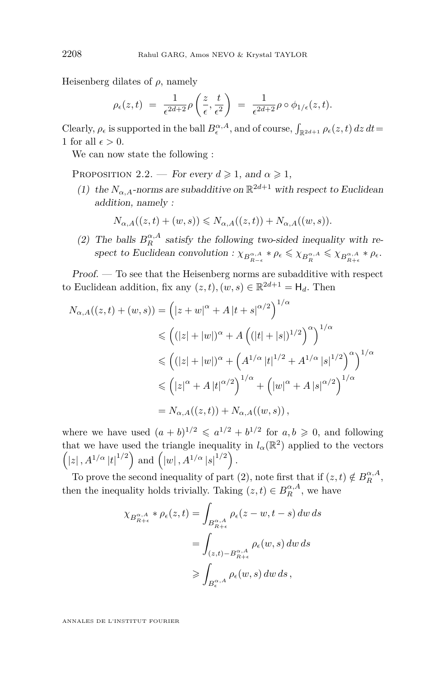<span id="page-10-0"></span>Heisenberg dilates of  $\rho$ , namely

$$
\rho_{\epsilon}(z,t) = \frac{1}{\epsilon^{2d+2}} \rho\left(\frac{z}{\epsilon},\frac{t}{\epsilon^2}\right) = \frac{1}{\epsilon^{2d+2}} \rho \circ \phi_{1/\epsilon}(z,t).
$$

Clearly,  $\rho_{\epsilon}$  is supported in the ball  $B_{\epsilon}^{\alpha,A}$ , and of course,  $\int_{\mathbb{R}^{2d+1}} \rho_{\epsilon}(z,t) dz dt =$ 1 for all  $\epsilon > 0$ .

We can now state the following :

PROPOSITION 2.2. — For every  $d \ge 1$ , and  $\alpha \ge 1$ ,

(1) the  $N_{\alpha,A}$ -norms are subadditive on  $\mathbb{R}^{2d+1}$  with respect to Euclidean addition, namely :

$$
N_{\alpha,A}((z,t) + (w,s)) \leq N_{\alpha,A}((z,t)) + N_{\alpha,A}((w,s)).
$$

(2) The balls  $B_R^{\alpha, A}$  satisfy the following two-sided inequality with respect to Euclidean convolution :  $\chi_{B_{R-\epsilon}^{\alpha,A}} * \rho_{\epsilon} \leq \chi_{B_R^{\alpha,A}} \leq \chi_{B_{R+\epsilon}^{\alpha,A}} * \rho_{\epsilon}$ .

 $Proof. - To see that the Heisenberg norms are subadditive with respect$ to Euclidean addition, fix any  $(z, t)$ ,  $(w, s) \in \mathbb{R}^{2d+1} = \mathsf{H}_d$ . Then

$$
N_{\alpha,A}((z,t) + (w,s)) = (|z+w|^{\alpha} + A |t+s|^{\alpha/2})^{1/\alpha}
$$
  
\n
$$
\leq ((|z| + |w|)^{\alpha} + A ((|t| + |s|)^{1/2})^{\alpha})^{1/\alpha}
$$
  
\n
$$
\leq ((|z| + |w|)^{\alpha} + (A^{1/\alpha} |t|^{1/2} + A^{1/\alpha} |s|^{1/2})^{\alpha})^{1/\alpha}
$$
  
\n
$$
\leq (|z|^{\alpha} + A |t|^{\alpha/2})^{1/\alpha} + (|w|^{\alpha} + A |s|^{\alpha/2})^{1/\alpha}
$$
  
\n
$$
= N_{\alpha,A}((z,t)) + N_{\alpha,A}((w,s)),
$$

where we have used  $(a + b)^{1/2} \leq a^{1/2} + b^{1/2}$  for  $a, b \geq 0$ , and following that we have used the triangle inequality in  $l_{\alpha}(\mathbb{R}^2)$  applied to the vectors  $(|z|, A^{1/\alpha} |t|^{1/2})$  and  $(|w|, A^{1/\alpha} |s|^{1/2}).$ 

To prove the second inequality of part (2), note first that if  $(z, t) \notin B_R^{\alpha, A}$ , then the inequality holds trivially. Taking  $(z, t) \in B_R^{\alpha, A}$ , we have

$$
\chi_{B_{R+\epsilon}^{\alpha,A}} * \rho_{\epsilon}(z,t) = \int_{B_{R+\epsilon}^{\alpha,A}} \rho_{\epsilon}(z-w,t-s) dw ds
$$
  
= 
$$
\int_{(z,t)-B_{R+\epsilon}^{\alpha,A}} \rho_{\epsilon}(w,s) dw ds
$$
  

$$
\geqslant \int_{B_{\epsilon}^{\alpha,A}} \rho_{\epsilon}(w,s) dw ds,
$$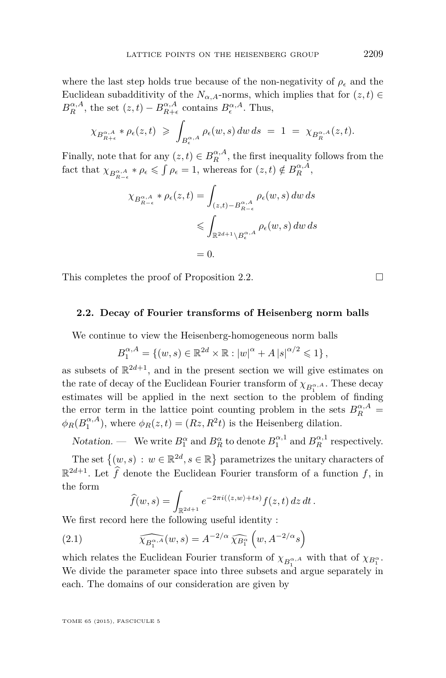<span id="page-11-0"></span>where the last step holds true because of the non-negativity of  $\rho_{\epsilon}$  and the Euclidean subadditivity of the  $N_{\alpha,A}$ -norms, which implies that for  $(z, t) \in$  $B_R^{\alpha,A}$ , the set  $(z,t) - B_{R+\epsilon}^{\alpha,A}$  contains  $B_{\epsilon}^{\alpha,A}$ . Thus,

$$
\chi_{B_{R+\epsilon}^{\alpha,A}} * \rho_{\epsilon}(z,t) \geq \int_{B_{\epsilon}^{\alpha,A}} \rho_{\epsilon}(w,s) \, dw \, ds \ = \ 1 \ = \ \chi_{B_{R}^{\alpha,A}}(z,t).
$$

Finally, note that for any  $(z, t) \in B_R^{\alpha, A}$ , the first inequality follows from the fact that  $\chi_{B_{R-\epsilon}^{\alpha,A}} * \rho_{\epsilon} \leq \int \rho_{\epsilon} = 1$ , whereas for  $(z, t) \notin B_R^{\alpha,A}$ ,

$$
\chi_{B_{R-\epsilon}^{\alpha,A}} * \rho_{\epsilon}(z,t) = \int_{(z,t)-B_{R-\epsilon}^{\alpha,A}} \rho_{\epsilon}(w,s) dw ds
$$
  

$$
\leq \int_{\mathbb{R}^{2d+1} \setminus B_{\epsilon}^{\alpha,A}} \rho_{\epsilon}(w,s) dw ds
$$
  

$$
= 0.
$$

This completes the proof of Proposition [2.2.](#page-10-0)  $\Box$ 

#### **2.2. Decay of Fourier transforms of Heisenberg norm balls**

We continue to view the Heisenberg-homogeneous norm balls

$$
B_1^{\alpha, A} = \{(w, s) \in \mathbb{R}^{2d} \times \mathbb{R} : |w|^{\alpha} + A |s|^{\alpha/2} \leq 1 \},
$$

as subsets of  $\mathbb{R}^{2d+1}$ , and in the present section we will give estimates on the rate of decay of the Euclidean Fourier transform of  $\chi_{B_1^{\alpha,A}}$ . These decay estimates will be applied in the next section to the problem of finding the error term in the lattice point counting problem in the sets  $B_R^{\alpha,A}$  $\phi_R(B_1^{\alpha,A})$ , where  $\phi_R(z,t) = (Rz, R^2t)$  is the Heisenberg dilation.

Notation. — We write  $B_1^{\alpha}$  and  $B_R^{\alpha}$  to denote  $B_1^{\alpha,1}$  and  $B_R^{\alpha,1}$  respectively.

The set  $\{(w, s) : w \in \mathbb{R}^{2d}, s \in \mathbb{R}\}$  parametrizes the unitary characters of  $\mathbb{R}^{2d+1}$ . Let  $\widehat{f}$  denote the Euclidean Fourier transform of a function  $f$ , in the form

$$
\widehat{f}(w,s) = \int_{\mathbb{R}^{2d+1}} e^{-2\pi i(\langle z,w\rangle + ts)} f(z,t) dz dt.
$$

We first record here the following useful identity :

(2.1) 
$$
\widehat{\chi_{B_1^{\alpha,A}}}(w,s) = A^{-2/\alpha} \widehat{\chi_{B_1^{\alpha}}}\left(w, A^{-2/\alpha}s\right)
$$

which relates the Euclidean Fourier transform of  $\chi_{B_1^{\alpha,A}}$  with that of  $\chi_{B_1^{\alpha}}$ . We divide the parameter space into three subsets and argue separately in each. The domains of our consideration are given by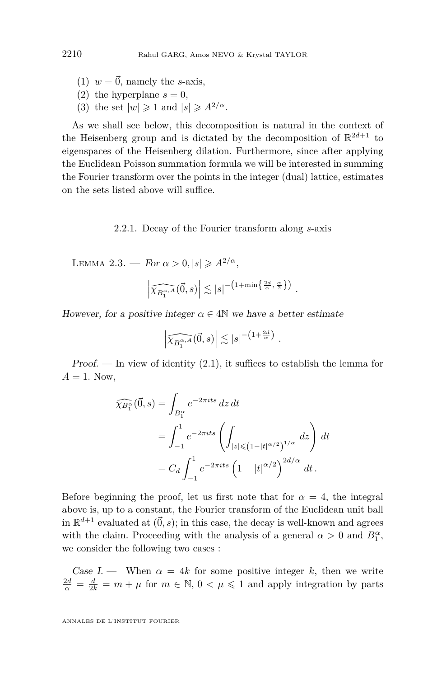- <span id="page-12-0"></span>(1)  $w = \vec{0}$ , namely the *s*-axis,
- (2) the hyperplane  $s = 0$ ,
- (3) the set  $|w| \geq 1$  and  $|s| \geq A^{2/\alpha}$ .

As we shall see below, this decomposition is natural in the context of the Heisenberg group and is dictated by the decomposition of  $\mathbb{R}^{2d+1}$  to eigenspaces of the Heisenberg dilation. Furthermore, since after applying the Euclidean Poisson summation formula we will be interested in summing the Fourier transform over the points in the integer (dual) lattice, estimates on the sets listed above will suffice.

2.2.1. Decay of the Fourier transform along *s*-axis

LEMMA 2.3. — For  $\alpha > 0, |s| \geqslant A^{2/\alpha}$ ,

$$
\left| \widehat{\chi_{B_1^{\alpha,A}}}(\vec{0},s) \right| \lesssim |s|^{-\left(1+\min\left\{\frac{2d}{\alpha},\frac{\alpha}{2}\right\}\right)} .
$$

However, for a positive integer  $\alpha \in 4\mathbb{N}$  we have a better estimate

$$
\left| \widehat{\chi_{B_1^{\alpha,A}}}(\vec{0},s) \right| \lesssim |s|^{-\left(1+\frac{2d}{\alpha}\right)} .
$$

Proof. — In view of identity  $(2.1)$ , it suffices to establish the lemma for  $A = 1$ . Now,

$$
\widehat{\chi_{B_1^{\alpha}}}(\vec{0}, s) = \int_{B_1^{\alpha}} e^{-2\pi i t s} dz dt
$$
  
= 
$$
\int_{-1}^{1} e^{-2\pi i t s} \left( \int_{|z| \le (1 - |t|^{\alpha/2})^{1/\alpha}} dz \right) dt
$$
  
= 
$$
C_d \int_{-1}^{1} e^{-2\pi i t s} \left( 1 - |t|^{\alpha/2} \right)^{2d/\alpha} dt.
$$

Before beginning the proof, let us first note that for  $\alpha = 4$ , the integral above is, up to a constant, the Fourier transform of the Euclidean unit ball in  $\mathbb{R}^{d+1}$  evaluated at  $(\vec{0}, s)$ ; in this case, the decay is well-known and agrees with the claim. Proceeding with the analysis of a general  $\alpha > 0$  and  $B_1^{\alpha}$ , we consider the following two cases :

Case I. — When  $\alpha = 4k$  for some positive integer k, then we write  $\frac{2d}{\alpha} = \frac{d}{2k} = m + \mu$  for  $m \in \mathbb{N}, 0 < \mu \leq 1$  and apply integration by parts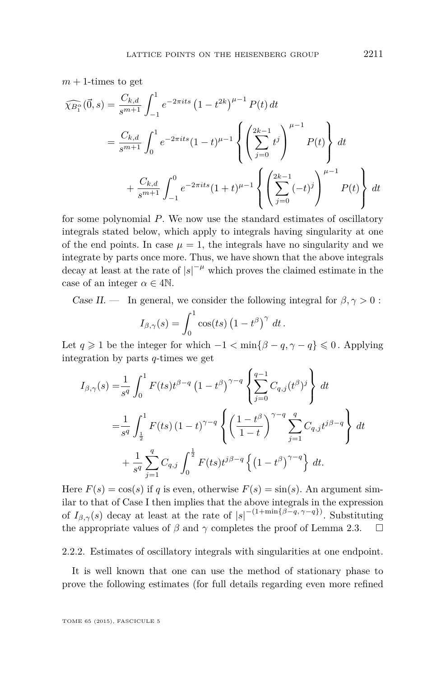<span id="page-13-0"></span> $m + 1$ -times to get

$$
\widehat{\chi_{B_1^{\alpha}}}(\vec{0},s) = \frac{C_{k,d}}{s^{m+1}} \int_{-1}^1 e^{-2\pi i t s} (1-t^{2k})^{\mu-1} P(t) dt
$$
  
\n
$$
= \frac{C_{k,d}}{s^{m+1}} \int_0^1 e^{-2\pi i t s} (1-t)^{\mu-1} \left\{ \left( \sum_{j=0}^{2k-1} t^j \right)^{\mu-1} P(t) \right\} dt
$$
  
\n
$$
+ \frac{C_{k,d}}{s^{m+1}} \int_{-1}^0 e^{-2\pi i t s} (1+t)^{\mu-1} \left\{ \left( \sum_{j=0}^{2k-1} (-t)^j \right)^{\mu-1} P(t) \right\} dt
$$

for some polynomial *P*. We now use the standard estimates of oscillatory integrals stated below, which apply to integrals having singularity at one of the end points. In case  $\mu = 1$ , the integrals have no singularity and we integrate by parts once more. Thus, we have shown that the above integrals decay at least at the rate of  $|s|^{-\mu}$  which proves the claimed estimate in the case of an integer  $\alpha \in 4\mathbb{N}$ .

Case II. — In general, we consider the following integral for  $\beta, \gamma > 0$ :

$$
I_{\beta,\gamma}(s) = \int_0^1 \cos(ts) (1-t^{\beta})^{\gamma} dt.
$$

Let *q* ≥ 1 be the integer for which  $-1 < \min\{\beta - q, \gamma - q\} \le 0$ . Applying integration by parts *q*-times we get

$$
I_{\beta,\gamma}(s) = \frac{1}{s^q} \int_0^1 F(ts)t^{\beta-q} (1-t^{\beta})^{\gamma-q} \left\{ \sum_{j=0}^{q-1} C_{q,j}(t^{\beta})^j \right\} dt
$$
  

$$
= \frac{1}{s^q} \int_{\frac{1}{2}}^1 F(ts) (1-t)^{\gamma-q} \left\{ \left( \frac{1-t^{\beta}}{1-t} \right)^{\gamma-q} \sum_{j=1}^q C_{q,j} t^{j\beta-q} \right\} dt
$$
  

$$
+ \frac{1}{s^q} \sum_{j=1}^q C_{q,j} \int_0^{\frac{1}{2}} F(ts)t^{j\beta-q} \left\{ (1-t^{\beta})^{\gamma-q} \right\} dt.
$$

Here  $F(s) = \cos(s)$  if *q* is even, otherwise  $F(s) = \sin(s)$ . An argument similar to that of Case I then implies that the above integrals in the expression of  $I_{\beta,\gamma}(s)$  decay at least at the rate of  $|s|^{-(1+\min{\{\beta-q,\gamma-q\}})}$ . Substituting the appropriate values of  $\beta$  and  $\gamma$  completes the proof of Lemma [2.3.](#page-12-0)  $\Box$ 

#### 2.2.2. Estimates of oscillatory integrals with singularities at one endpoint.

It is well known that one can use the method of stationary phase to prove the following estimates (for full details regarding even more refined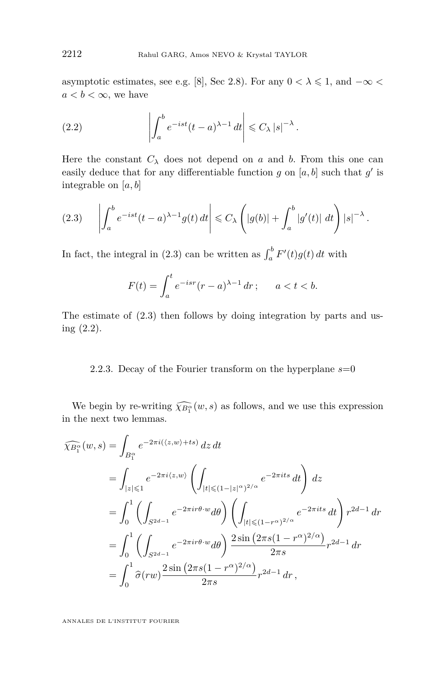<span id="page-14-0"></span>asymptotic estimates, see e.g. [\[8\]](#page-33-0), Sec 2.8). For any  $0 < \lambda \leq 1$ , and  $-\infty <$  $a < b < \infty$ , we have

(2.2) 
$$
\left| \int_{a}^{b} e^{-ist} (t-a)^{\lambda-1} dt \right| \leq C_{\lambda} |s|^{-\lambda}.
$$

Here the constant  $C_{\lambda}$  does not depend on *a* and *b*. From this one can easily deduce that for any differentiable function  $g$  on  $[a, b]$  such that  $g'$  is integrable on [*a, b*]

$$
(2.3) \qquad \left| \int_a^b e^{-ist} (t-a)^{\lambda-1} g(t) dt \right| \leq C_{\lambda} \left( |g(b)| + \int_a^b |g'(t)| dt \right) |s|^{-\lambda}.
$$

In fact, the integral in (2.3) can be written as  $\int_a^b F'(t)g(t) dt$  with

$$
F(t) = \int_{a}^{t} e^{-isr} (r - a)^{\lambda - 1} dr; \qquad a < t < b.
$$

The estimate of (2.3) then follows by doing integration by parts and using (2.2).

#### 2.2.3. Decay of the Fourier transform on the hyperplane  $s=0$

We begin by re-writing  $\widehat{\chi_{B_1^{\alpha}}}(w, s)$  as follows, and we use this expression the next two lemmas. in the next two lemmas.

$$
\widehat{\chi_{B_1^{\alpha}}}(w,s) = \int_{B_1^{\alpha}} e^{-2\pi i (z,w) + ts} dz dt \n= \int_{|z| \le 1} e^{-2\pi i (z,w)} \left( \int_{|t| \le (1-|z|^{\alpha})^{2/\alpha}} e^{-2\pi i ts} dt \right) dz \n= \int_0^1 \left( \int_{S^{2d-1}} e^{-2\pi i r \theta \cdot w} d\theta \right) \left( \int_{|t| \le (1-r^{\alpha})^{2/\alpha}} e^{-2\pi i ts} dt \right) r^{2d-1} dr \n= \int_0^1 \left( \int_{S^{2d-1}} e^{-2\pi i r \theta \cdot w} d\theta \right) \frac{2 \sin (2\pi s (1-r^{\alpha})^{2/\alpha})}{2\pi s} r^{2d-1} dr \n= \int_0^1 \widehat{\sigma}(rw) \frac{2 \sin (2\pi s (1-r^{\alpha})^{2/\alpha})}{2\pi s} r^{2d-1} dr,
$$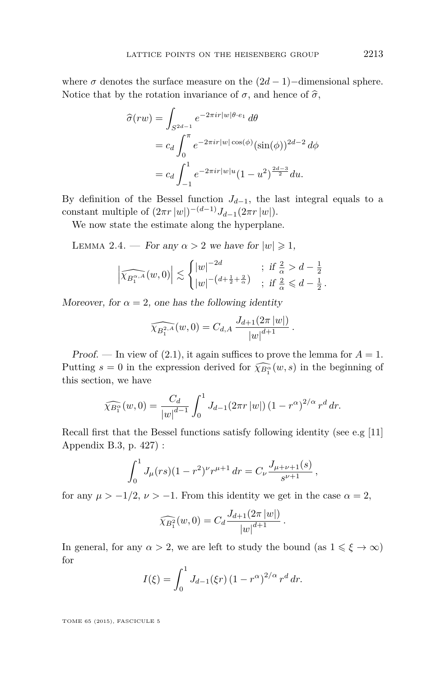<span id="page-15-0"></span>where  $\sigma$  denotes the surface measure on the  $(2d - 1)$ −dimensional sphere. Notice that by the rotation invariance of  $\sigma$ , and hence of  $\hat{\sigma}$ ,

$$
\hat{\sigma}(rw) = \int_{S^{2d-1}} e^{-2\pi ir|w|\theta \cdot e_1} d\theta
$$
  
=  $c_d \int_0^{\pi} e^{-2\pi ir|w|\cos(\phi)} (\sin(\phi))^{2d-2} d\phi$   
=  $c_d \int_{-1}^1 e^{-2\pi ir|w|u} (1 - u^2)^{\frac{2d-3}{2}} du.$ 

By definition of the Bessel function  $J_{d-1}$ , the last integral equals to a constant multiple of  $(2\pi r |w|)^{-(d-1)} J_{d-1}(2\pi r |w|)$ .

We now state the estimate along the hyperplane.

LEMMA 2.4. — For any  $\alpha > 2$  we have for  $|w| \geq 1$ ,

$$
\left|\widehat{\chi_{B_1^{\alpha,A}}}(w,0)\right| \lesssim \begin{cases} |w|^{-2d} & ; \text{ if } \frac{2}{\alpha} > d - \frac{1}{2} \\ |w|^{-(d + \frac{1}{2} + \frac{2}{\alpha})} & ; \text{ if } \frac{2}{\alpha} \leq d - \frac{1}{2} \end{cases}
$$

Moreover, for  $\alpha = 2$ , one has the following identity

$$
\widehat{\chi_{B_1^{2,A}}}(w,0) = C_{d,A} \, \frac{J_{d+1}(2\pi |w|)}{|w|^{d+1}}.
$$

Proof. — In view of  $(2.1)$ , it again suffices to prove the lemma for  $A = 1$ . Putting  $s = 0$  in the expression derived for  $\widehat{\chi_{B_1^{\alpha}}} (w, s)$  in the beginning of this costion, we have this section, we have

$$
\widehat{\chi_{B_1^{\alpha}}}(w,0) = \frac{C_d}{|w|^{d-1}} \int_0^1 J_{d-1}(2\pi r \, |w|) \left(1 - r^{\alpha}\right)^{2/\alpha} r^d \, dr.
$$

Recall first that the Bessel functions satisfy following identity (see e.g [\[11\]](#page-33-0) Appendix B.3, p. 427) :

$$
\int_0^1 J_\mu(rs)(1-r^2)^\nu r^{\mu+1} dr = C_\nu \frac{J_{\mu+\nu+1}(s)}{s^{\nu+1}},
$$

for any  $\mu > -1/2$ ,  $\nu > -1$ . From this identity we get in the case  $\alpha = 2$ ,

$$
\widehat{\chi_{B_1^2}}(w,0) = C_d \frac{J_{d+1}(2\pi |w|)}{|w|^{d+1}}.
$$

In general, for any  $\alpha > 2$ , we are left to study the bound (as  $1 \leq \xi \to \infty$ ) for

$$
I(\xi) = \int_0^1 J_{d-1}(\xi r) (1 - r^{\alpha})^{2/\alpha} r^d dr.
$$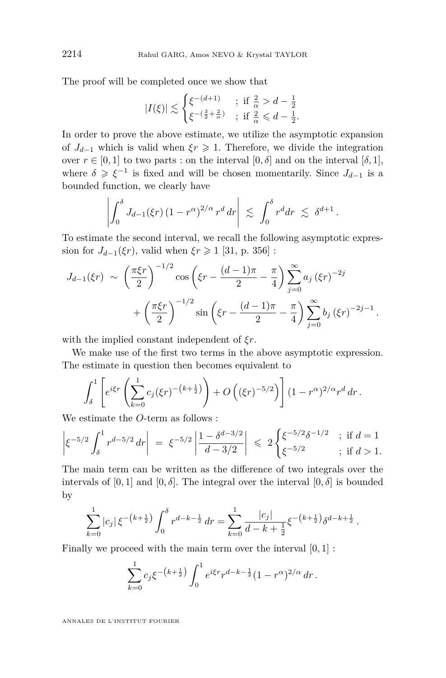The proof will be completed once we show that

$$
|I(\xi)| \lesssim \begin{cases} \xi^{-(d+1)} & ; \text{ if } \frac{2}{\alpha} > d - \frac{1}{2} \\ \xi^{-(\frac{3}{2} + \frac{2}{\alpha})} & ; \text{ if } \frac{2}{\alpha} \leq d - \frac{1}{2}. \end{cases}
$$

In order to prove the above estimate, we utilize the asymptotic expansion of  $J_{d-1}$  which is valid when  $\xi r \geq 1$ . Therefore, we divide the integration over  $r \in [0, 1]$  to two parts : on the interval  $[0, \delta]$  and on the interval  $[\delta, 1]$ , where  $\delta \geqslant \xi^{-1}$  is fixed and will be chosen momentarily. Since  $J_{d-1}$  is a bounded function, we clearly have

$$
\left|\int_0^\delta J_{d-1}(\xi r)\left(1-r^{\alpha}\right)^{2/\alpha}r^d\,dr\right| \,\lesssim\, \int_0^\delta r^d dr\,\lesssim\, \delta^{d+1}\,.
$$

To estimate the second interval, we recall the following asymptotic expression for  $J_{d-1}(\xi r)$ , valid when  $\xi r \geq 1$  [\[31,](#page-34-0) p. 356] :

$$
J_{d-1}(\xi r) \sim \left(\frac{\pi \xi r}{2}\right)^{-1/2} \cos \left(\xi r - \frac{(d-1)\pi}{2} - \frac{\pi}{4}\right) \sum_{j=0}^{\infty} a_j \left(\xi r\right)^{-2j} + \left(\frac{\pi \xi r}{2}\right)^{-1/2} \sin \left(\xi r - \frac{(d-1)\pi}{2} - \frac{\pi}{4}\right) \sum_{j=0}^{\infty} b_j \left(\xi r\right)^{-2j-1}.
$$

with the implied constant independent of *ξr*.

We make use of the first two terms in the above asymptotic expression. The estimate in question then becomes equivalent to

$$
\int_{\delta}^{1} \left[ e^{i\xi r} \left( \sum_{k=0}^{1} c_j (\xi r)^{-(k+\frac{1}{2})} \right) + O\left( (\xi r)^{-5/2} \right) \right] (1 - r^{\alpha})^{2/\alpha} r^d dr.
$$

We estimate the *O*-term as follows :

$$
\left|\xi^{-5/2} \int_{\delta}^{1} r^{d-5/2} dr\right| = \left|\xi^{-5/2} \left|\frac{1-\delta^{d-3/2}}{d-3/2}\right|\right| \leq 2 \begin{cases} \xi^{-5/2} \delta^{-1/2} & ; \text{ if } d = 1\\ \xi^{-5/2} & ; \text{ if } d > 1. \end{cases}
$$

The main term can be written as the difference of two integrals over the intervals of [0, 1] and [0,  $\delta$ ]. The integral over the interval [0,  $\delta$ ] is bounded by

$$
\sum_{k=0}^{1} |c_j| \xi^{-(k+\frac{1}{2})} \int_0^{\delta} r^{d-k-\frac{1}{2}} dr = \sum_{k=0}^{1} \frac{|c_j|}{d-k+\frac{1}{2}} \xi^{-(k+\frac{1}{2})} \delta^{d-k+\frac{1}{2}}.
$$

Finally we proceed with the main term over the interval [0*,* 1] :

$$
\sum_{k=0}^{1} c_j \xi^{-(k+\frac{1}{2})} \int_0^1 e^{i\xi r} r^{d-k-\frac{1}{2}} (1-r^{\alpha})^{2/\alpha} dr.
$$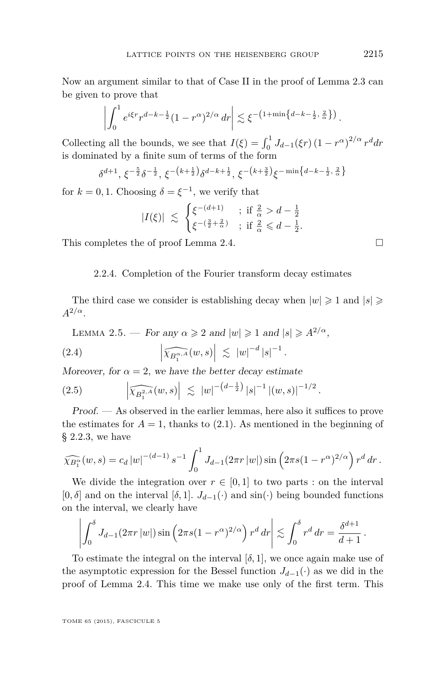<span id="page-17-0"></span>Now an argument similar to that of Case II in the proof of Lemma [2.3](#page-12-0) can be given to prove that

$$
\left| \int_0^1 e^{i\xi r} r^{d-k-\frac{1}{2}} (1-r^{\alpha})^{2/\alpha} dr \right| \lesssim \xi^{-\left(1+\min\left\{d-k-\frac{1}{2},\frac{2}{\alpha}\right\}\right)}
$$

Collecting all the bounds, we see that  $I(\xi) = \int_0^1 J_{d-1}(\xi r) (1 - r^{\alpha})^{2/\alpha} r^d dr$ is dominated by a finite sum of terms of the form

$$
\delta^{d+1}, \, \xi^{-\frac{5}{2}} \delta^{-\frac{1}{2}}, \, \xi^{-\left(k+\frac{1}{2}\right)} \delta^{d-k+\frac{1}{2}}, \, \xi^{-\left(k+\frac{3}{2}\right)} \xi^{-\min\left\{d-k-\frac{1}{2}, \frac{2}{\alpha}\right\}}
$$

for  $k = 0, 1$ . Choosing  $\delta = \xi^{-1}$ , we verify that

$$
|I(\xi)| \ \lesssim \ \begin{cases} \xi^{-(d+1)} & \text{; if } \frac{2}{\alpha} > d - \frac{1}{2} \\ \xi^{-(\frac{3}{2} + \frac{2}{\alpha})} & \text{; if } \frac{2}{\alpha} \leq d - \frac{1}{2}. \end{cases}
$$

This completes the of proof Lemma [2.4.](#page-15-0)  $\Box$ 

#### 2.2.4. Completion of the Fourier transform decay estimates

The third case we consider is establishing decay when  $|w| \geq 1$  and  $|s| \geq 1$  $A^{2/\alpha}$ .

LEMMA 2.5. — For any 
$$
\alpha \ge 2
$$
 and  $|w| \ge 1$  and  $|s| \ge A^{2/\alpha}$ ,

(2.4) 
$$
\left| \widehat{\chi_{B_1^{\alpha, A}}}(w, s) \right| \lesssim |w|^{-d} |s|^{-1}.
$$

Moreover, for  $\alpha = 2$ , we have the better decay estimate

$$
(2.5) \qquad \qquad \left| \widehat{\chi_{B_1^{2,A}}}(w,s) \right| \ \lesssim \ |w|^{-(d-\frac{1}{2})} \, |s|^{-1} \, |(w,s)|^{-1/2} \, .
$$

Proof. — As observed in the earlier lemmas, here also it suffices to prove the estimates for  $A = 1$ , thanks to  $(2.1)$ . As mentioned in the beginning of § [2.2.3,](#page-14-0) we have

$$
\widehat{\chi_{B_1^{\alpha}}}(w,s) = c_d |w|^{-(d-1)} s^{-1} \int_0^1 J_{d-1}(2\pi r |w|) \sin \left(2\pi s (1 - r^{\alpha})^{2/\alpha}\right) r^d dr.
$$

We divide the integration over  $r \in [0,1]$  to two parts : on the interval [0,  $\delta$ ] and on the interval  $[\delta, 1]$ .  $J_{d-1}(\cdot)$  and  $\sin(\cdot)$  being bounded functions on the interval, we clearly have

$$
\left| \int_0^\delta J_{d-1}(2\pi r \, |w|) \sin \left(2\pi s (1-r^{\alpha})^{2/\alpha}\right) r^d \, dr \right| \lesssim \int_0^\delta r^d \, dr = \frac{\delta^{d+1}}{d+1} \, .
$$

To estimate the integral on the interval  $[\delta, 1]$ , we once again make use of the asymptotic expression for the Bessel function  $J_{d-1}(\cdot)$  as we did in the proof of Lemma [2.4.](#page-15-0) This time we make use only of the first term. This

TOME 65 (2015), FASCICULE 5

*.*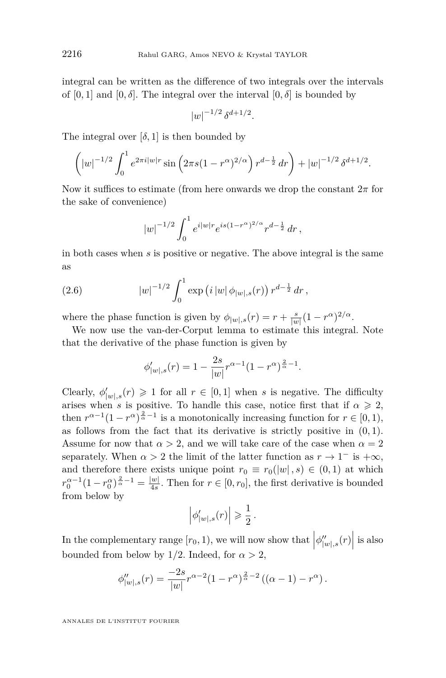integral can be written as the difference of two integrals over the intervals of  $[0, 1]$  and  $[0, \delta]$ . The integral over the interval  $[0, \delta]$  is bounded by

$$
|w|^{-1/2} \, \delta^{d+1/2}.
$$

The integral over  $[\delta, 1]$  is then bounded by

$$
\left(|w|^{-1/2} \int_0^1 e^{2\pi i |w| r} \sin \left(2\pi s (1 - r^{\alpha})^{2/\alpha}\right) r^{d - \frac{1}{2}} dr\right) + |w|^{-1/2} \delta^{d+1/2}.
$$

Now it suffices to estimate (from here onwards we drop the constant 2*π* for the sake of convenience)

$$
|w|^{-1/2} \int_0^1 e^{i|w|} e^{is(1-r^{\alpha})^{2/\alpha}} r^{d-\frac{1}{2}} dr,
$$

in both cases when *s* is positive or negative. The above integral is the same as

(2.6) 
$$
|w|^{-1/2} \int_0^1 \exp (i |w| \phi_{|w|,s}(r)) r^{d-\frac{1}{2}} dr,
$$

where the phase function is given by  $\phi_{|w|,s}(r) = r + \frac{s}{|w|}(1 - r^{\alpha})^{2/\alpha}$ .

We now use the van-der-Corput lemma to estimate this integral. Note that the derivative of the phase function is given by

$$
\phi'_{|w|,s}(r) = 1 - \frac{2s}{|w|} r^{\alpha - 1} (1 - r^{\alpha})^{\frac{2}{\alpha} - 1}.
$$

Clearly,  $\phi'_{|w|,s}(r) \geq 1$  for all  $r \in [0,1]$  when *s* is negative. The difficulty arises when *s* is positive. To handle this case, notice first that if  $\alpha \geq 2$ , then  $r^{\alpha-1}(1 - r^{\alpha})^{\frac{2}{\alpha}-1}$  is a monotonically increasing function for  $r \in [0,1)$ , as follows from the fact that its derivative is strictly positive in (0*,* 1). Assume for now that  $\alpha > 2$ , and we will take care of the case when  $\alpha = 2$ separately. When  $\alpha > 2$  the limit of the latter function as  $r \to 1^-$  is  $+\infty$ , and therefore there exists unique point  $r_0 \equiv r_0(|w|, s) \in (0, 1)$  at which  $r_0^{\alpha-1}(1-r_0^{\alpha})^{\frac{2}{\alpha}-1} = \frac{|w|}{4s}$  $\frac{w_1}{4s}$ . Then for  $r \in [0, r_0]$ , the first derivative is bounded from below by

$$
\left|\phi'_{|w|,s}(r)\right| \geqslant \frac{1}{2} \, .
$$

In the complementary range  $[r_0, 1)$ , we will now show that  $\left|\phi''_{|w|,s}(r)\right|$  is also bounded from below by  $1/2$ . Indeed, for  $\alpha > 2$ ,

$$
\phi''_{|w|,s}(r) = \frac{-2s}{|w|} r^{\alpha - 2} (1 - r^{\alpha})^{\frac{2}{\alpha} - 2} ((\alpha - 1) - r^{\alpha}).
$$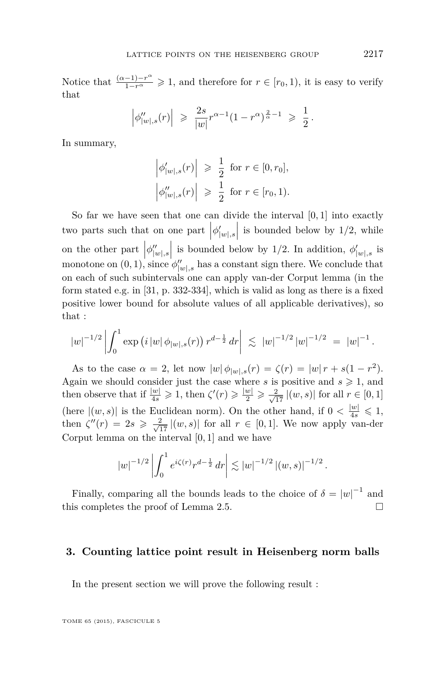Notice that  $\frac{(\alpha-1)-r^{\alpha}}{1-r^{\alpha}} \geq 1$ , and therefore for  $r \in [r_0, 1)$ , it is easy to verify that

$$
\Big|\phi_{|w|,s}''(r)\Big| \ \geqslant \ \frac{2s}{|w|}r^{\alpha-1}(1-r^{\alpha})^{\frac{2}{\alpha}-1} \ \geqslant \ \frac{1}{2}\,.
$$

In summary,

$$
\left| \phi'_{|w|,s}(r) \right| \geq \frac{1}{2} \text{ for } r \in [0, r_0],
$$
  

$$
\left| \phi''_{|w|,s}(r) \right| \geq \frac{1}{2} \text{ for } r \in [r_0, 1).
$$

So far we have seen that one can divide the interval [0*,* 1] into exactly two parts such that on one part  $|\phi'_{|w|,s}|$  is bounded below by 1/2, while on the other part  $|\phi''_{|w|,s}|$  is bounded below by 1/2. In addition,  $\phi'_{|w|,s}$  is monotone on  $(0, 1)$ , since  $\phi''_{|w|,s}$  has a constant sign there. We conclude that on each of such subintervals one can apply van-der Corput lemma (in the form stated e.g. in [\[31,](#page-34-0) p. 332-334], which is valid as long as there is a fixed positive lower bound for absolute values of all applicable derivatives), so that :

$$
\left|w\right|^{-1/2}\left|\int_0^1 \exp\left(i\left|w\right|\phi_{|w|,s}(r)\right)r^{d-\frac{1}{2}}\,dr\right| \;\lesssim\; \left|w\right|^{-1/2}\left|w\right|^{-1/2} \;=\; \left|w\right|^{-1}.
$$

As to the case  $\alpha = 2$ , let now  $|w| \phi_{|w|,s}(r) = \zeta(r) = |w| r + s(1 - r^2)$ . Again we should consider just the case where *s* is positive and  $s \geq 1$ , and then observe that if  $\frac{|w|}{4s} \geq 1$ , then  $\zeta'(r) \geq \frac{|w|}{2} \geq \frac{2}{\sqrt{17}} |(w, s)|$  for all  $r \in [0, 1]$ (here  $|(w, s)|$  is the Euclidean norm). On the other hand, if  $0 < \frac{|w|}{4s} \leq 1$ , then  $\zeta''(r) = 2s \geqslant \frac{2}{\sqrt{17}} |(w, s)|$  for all  $r \in [0, 1]$ . We now apply van-der Corput lemma on the interval [0*,* 1] and we have

$$
|w|^{-1/2}\left|\int_0^1 e^{i\zeta(r)}r^{d-\frac{1}{2}}\,dr\right|\lesssim |w|^{-1/2}\left|(w,s)\right|^{-1/2}.
$$

Finally, comparing all the bounds leads to the choice of  $\delta = |w|^{-1}$  and this completes the proof of Lemma [2.5.](#page-17-0)

#### **3. Counting lattice point result in Heisenberg norm balls**

In the present section we will prove the following result :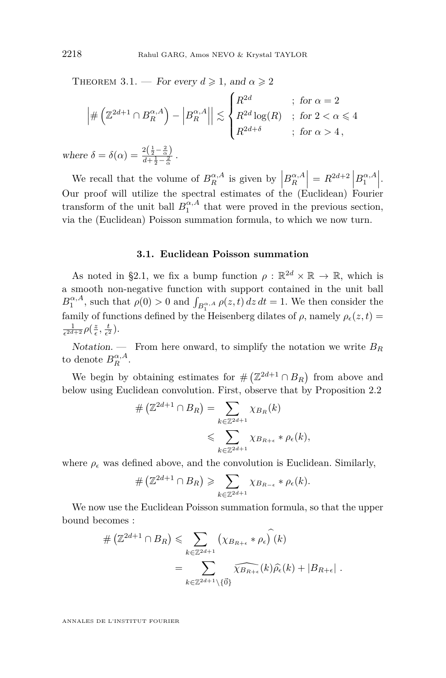<span id="page-20-0"></span>THEOREM 3.1. — For every  $d \ge 1$ , and  $\alpha \ge 2$ 

$$
\left| \#\left(\mathbb{Z}^{2d+1} \cap B_R^{\alpha,A}\right) - \left|B_R^{\alpha,A}\right| \right| \lesssim \begin{cases} R^{2d} & ; \text{ for } \alpha = 2 \\ R^{2d} \log(R) & ; \text{ for } 2 < \alpha \leq 4 \\ R^{2d+\delta} & ; \text{ for } \alpha > 4, \end{cases}
$$
  
we  $\delta = \delta(\alpha) = \frac{2(\frac{1}{2} - \frac{2}{\alpha})}{d + \frac{1}{2} - 2}$ .

 $where$  $d + \frac{1}{2} - \frac{2}{\alpha}$ 

We recall that the volume of  $B_R^{\alpha,A}$  is given by  $\left|B_R^{\alpha,A}\right| = R^{2d+2} \left|B_1^{\alpha,A}\right|$ . Our proof will utilize the spectral estimates of the (Euclidean) Fourier transform of the unit ball  $B_1^{\alpha, A}$  that were proved in the previous section, via the (Euclidean) Poisson summation formula, to which we now turn.

#### **3.1. Euclidean Poisson summation**

As noted in §2.1, we fix a bump function  $\rho : \mathbb{R}^{2d} \times \mathbb{R} \to \mathbb{R}$ , which is a smooth non-negative function with support contained in the unit ball  $B_1^{\alpha,A}$ , such that  $\rho(0) > 0$  and  $\int_{B_1^{\alpha,A}} \rho(z,t) dz dt = 1$ . We then consider the family of functions defined by the Heisenberg dilates of  $\rho$ , namely  $\rho_{\epsilon}(z,t)$  $\frac{1}{\epsilon^{2d+2}} \rho\left(\frac{z}{\epsilon}, \frac{t}{\epsilon^2}\right)$ .

Notation. — From here onward, to simplify the notation we write  $B_R$ to denote  $B_R^{\alpha,A}$ .

We begin by obtaining estimates for  $#(\mathbb{Z}^{2d+1} \cap B_R)$  from above and below using Euclidean convolution. First, observe that by Proposition [2.2](#page-10-0)

$$
\# \left( \mathbb{Z}^{2d+1} \cap B_R \right) = \sum_{k \in \mathbb{Z}^{2d+1}} \chi_{B_R}(k)
$$
  
\$\leqslant \sum\_{k \in \mathbb{Z}^{2d+1}} \chi\_{B\_{R+\epsilon}} \* \rho\_{\epsilon}(k)\$,

where  $\rho_{\epsilon}$  was defined above, and the convolution is Euclidean. Similarly,

$$
\# \left( \mathbb{Z}^{2d+1} \cap B_R \right) \geqslant \sum_{k \in \mathbb{Z}^{2d+1}} \chi_{B_{R-\epsilon}} * \rho_{\epsilon}(k).
$$

We now use the Euclidean Poisson summation formula, so that the upper bound becomes :

$$
\# \left( \mathbb{Z}^{2d+1} \cap B_R \right) \leqslant \sum_{k \in \mathbb{Z}^{2d+1}} \left( \chi_{B_{R+\epsilon}} * \rho_{\epsilon} \right) (k)
$$
\n
$$
= \sum_{k \in \mathbb{Z}^{2d+1} \setminus \{\vec{0}\}} \widehat{\chi_{B_{R+\epsilon}}}(k) \widehat{\rho_{\epsilon}}(k) + |B_{R+\epsilon}|.
$$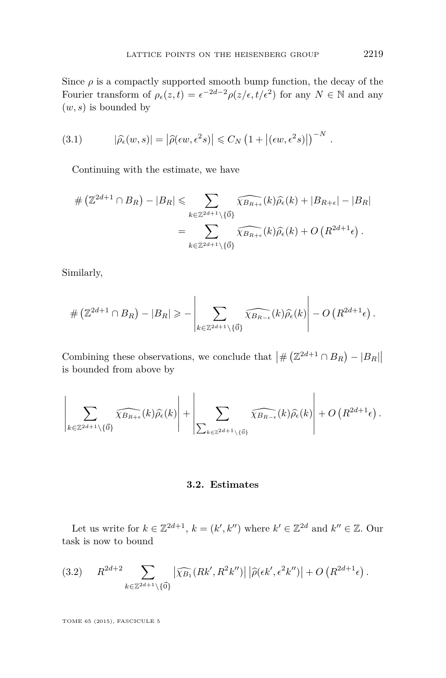<span id="page-21-0"></span>Since  $\rho$  is a compactly supported smooth bump function, the decay of the Fourier transform of  $\rho_{\epsilon}(z,t) = \epsilon^{-2d-2} \rho(z/\epsilon, t/\epsilon^2)$  for any  $N \in \mathbb{N}$  and any (*w, s*) is bounded by

(3.1) 
$$
|\widehat{\rho}_{\epsilon}(w,s)| = |\widehat{\rho}(\epsilon w,\epsilon^2 s)| \leq C_N \left(1 + |(\epsilon w,\epsilon^2 s)|\right)^{-N}.
$$

Continuing with the estimate, we have

$$
\# \left( \mathbb{Z}^{2d+1} \cap B_R \right) - |B_R| \leqslant \sum_{k \in \mathbb{Z}^{2d+1} \setminus \{\vec{0}\}} \widehat{\chi_{B_{R+\epsilon}}}(k) \widehat{\rho_{\epsilon}}(k) + |B_{R+\epsilon}| - |B_R|
$$

$$
= \sum_{k \in \mathbb{Z}^{2d+1} \setminus \{\vec{0}\}} \widehat{\chi_{B_{R+\epsilon}}}(k) \widehat{\rho_{\epsilon}}(k) + O \left( R^{2d+1} \epsilon \right).
$$

Similarly,

$$
\#\left(\mathbb{Z}^{2d+1}\cap B_R\right)-|B_R|\geqslant-\left|\sum_{k\in\mathbb{Z}^{2d+1}\setminus\{\vec{0}\}}\widehat{\chi_{B_{R-\epsilon}}}(k)\widehat{\rho_{\epsilon}}(k)\right|-O\left(R^{2d+1}\epsilon\right).
$$

Combining these observations, we conclude that  $\left| \# \left( \mathbb{Z}^{2d+1} \cap B_R \right) - |B_R| \right|$ is bounded from above by

$$
\left|\sum_{k\in\mathbb{Z}^{2d+1}\setminus\{\vec{0}\}}\widehat{\chi_{B_{R+\epsilon}}}(k)\widehat{\rho_{\epsilon}}(k)\right|+\left|\sum_{\sum_{k\in\mathbb{Z}^{2d+1}\setminus\{\vec{0}\}}}\widehat{\chi_{B_{R-\epsilon}}}(k)\widehat{\rho_{\epsilon}}(k)\right|+O\left(R^{2d+1}\epsilon\right).
$$

#### **3.2. Estimates**

Let us write for  $k \in \mathbb{Z}^{2d+1}$ ,  $k = (k', k'')$  where  $k' \in \mathbb{Z}^{2d}$  and  $k'' \in \mathbb{Z}$ . Our task is now to bound

$$
(3.2) \t R^{2d+2} \sum_{k \in \mathbb{Z}^{2d+1} \setminus \{\vec{0}\}} |\widehat{\chi_{B_1}}(Rk', R^2k'')| |\widehat{\rho}(\epsilon k', \epsilon^2 k'')| + O\left(R^{2d+1}\epsilon\right).
$$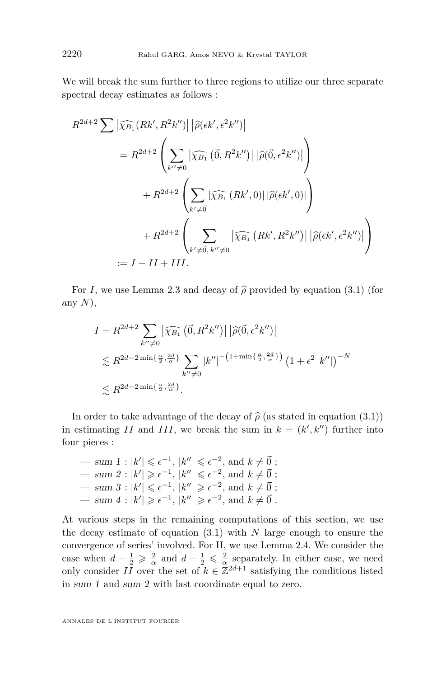We will break the sum further to three regions to utilize our three separate spectral decay estimates as follows :

$$
R^{2d+2} \sum |\widehat{\chi_{B_1}}(Rk', R^2k'')| |\widehat{\rho}(\epsilon k', \epsilon^2 k'')|
$$
  
\n
$$
= R^{2d+2} \left( \sum_{k'' \neq 0} |\widehat{\chi_{B_1}}(\vec{0}, R^2k'')| |\widehat{\rho}(\vec{0}, \epsilon^2 k'')| \right)
$$
  
\n
$$
+ R^{2d+2} \left( \sum_{k' \neq \vec{0}} |\widehat{\chi_{B_1}}(Rk', 0)| |\widehat{\rho}(\epsilon k', 0)| \right)
$$
  
\n
$$
+ R^{2d+2} \left( \sum_{k' \neq \vec{0}, k'' \neq 0} |\widehat{\chi_{B_1}}(Rk', R^2k'')| |\widehat{\rho}(\epsilon k', \epsilon^2 k'')| \right)
$$
  
\n
$$
:= I + II + III.
$$

For *I*, we use Lemma [2.3](#page-12-0) and decay of  $\hat{\rho}$  provided by equation [\(3.1\)](#page-21-0) (for any *N*),

$$
I = R^{2d+2} \sum_{k'' \neq 0} |\widehat{\chi_{B_1}}(\vec{0}, R^2 k'')| |\widehat{\rho}(\vec{0}, \epsilon^2 k'')|
$$
  
\$\lesssim R^{2d-2 min\{\frac{\alpha}{2}, \frac{2d}{\alpha}\}} \sum\_{k'' \neq 0} |k''|^{-(1+ min\{\frac{\alpha}{2}, \frac{2d}{\alpha}\})} (1 + \epsilon^2 |k''|)^{-N}\$  
\$\lesssim R^{2d-2 min\{\frac{\alpha}{2}, \frac{2d}{\alpha}\}}.

In order to take advantage of the decay of  $\hat{\rho}$  (as stated in equation [\(3.1\)](#page-21-0)) in estimating *II* and *III*, we break the sum in  $k = (k', k'')$  further into four pieces :

$$
-\sum_{k=1}^{\infty} |k'| \leq \epsilon^{-1}, |k''| \leq \epsilon^{-2}, \text{ and } k \neq \vec{0} ;
$$
  
\n
$$
-\sum_{k=1}^{\infty} |k'| \geq \epsilon^{-1}, |k''| \leq \epsilon^{-2}, \text{ and } k \neq \vec{0} ;
$$
  
\n
$$
-\sum_{k=1}^{\infty} |k'| \leq \epsilon^{-1}, |k''| \geq \epsilon^{-2}, \text{ and } k \neq \vec{0} ;
$$
  
\n
$$
-\sum_{k=1}^{\infty} |k'| \geq \epsilon^{-1}, |k''| \geq \epsilon^{-2}, \text{ and } k \neq \vec{0} .
$$

At various steps in the remaining computations of this section, we use the decay estimate of equation [\(3.1\)](#page-21-0) with *N* large enough to ensure the convergence of series' involved. For II, we use Lemma [2.4.](#page-15-0) We consider the case when  $d - \frac{1}{2} \geqslant \frac{2}{\alpha}$  and  $d - \frac{1}{2} \leqslant \frac{2}{\alpha}$  separately. In either case, we need only consider  $II$  over the set of  $k \in \mathbb{Z}^{2d+1}$  satisfying the conditions listed in sum 1 and sum 2 with last coordinate equal to zero.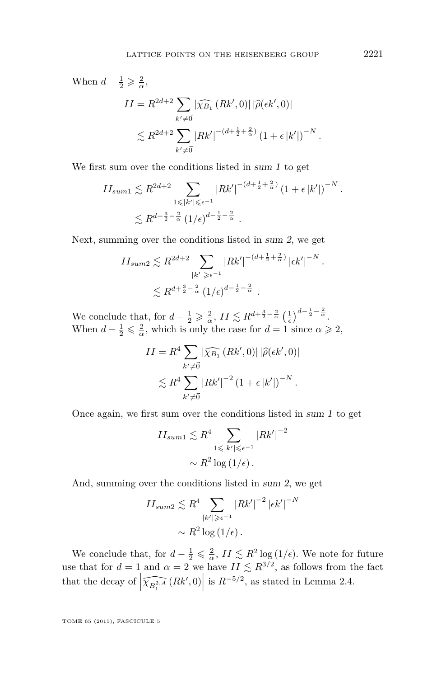When  $d - \frac{1}{2} \geqslant \frac{2}{\alpha}$ ,  $II = R^{2d+2}$  $\sum_{k'\neq \vec{0}} |\widehat{\chi_{B_1}}\left(Rk',0\right)| \left|\widehat{\rho}(\epsilon k',0)\right|$  $\lesssim R^{2d+2}$  $k' \neq 0$  $|Rk'|^{-(d+\frac{1}{2}+\frac{2}{\alpha})} (1+\epsilon |k'|)^{-N}.$ 

We first sum over the conditions listed in sum 1 to get

$$
II_{sum1} \lesssim R^{2d+2} \sum_{\substack{1 \le |k'| \le \epsilon^{-1} \\ \lesssim R^{d+\frac{3}{2}-\frac{2}{\alpha}}} |Rk'|^{-(d+\frac{1}{2}+\frac{2}{\alpha})} (1+\epsilon |k'|)^{-N}}.
$$

Next, summing over the conditions listed in sum 2, we get

$$
II_{sum2} \lesssim R^{2d+2} \sum_{|k'| \ge \epsilon^{-1}} |Rk'|^{-(d+\frac{1}{2}+\frac{2}{\alpha})} |\epsilon k'|^{-N}.
$$
  

$$
\lesssim R^{d+\frac{3}{2}-\frac{2}{\alpha}} (1/\epsilon)^{d-\frac{1}{2}-\frac{2}{\alpha}}.
$$

We conclude that, for  $d - \frac{1}{2} \geqslant \frac{2}{\alpha}$ ,  $II \lesssim R^{d + \frac{3}{2} - \frac{2}{\alpha}} \left(\frac{1}{\epsilon}\right)^{d - \frac{1}{2} - \frac{2}{\alpha}}$ . When  $d - \frac{1}{2} \leq \frac{2}{\alpha}$ , which is only the case for  $d = 1$  since  $\alpha \geq 2$ ,

$$
II = R4 \sum_{k' \neq \vec{0}} |\widehat{\chi_{B_1}} (Rk', 0)| |\widehat{\rho}(\epsilon k', 0)|
$$
  

$$
\lesssim R4 \sum_{k' \neq \vec{0}} |Rk'|^{-2} (1 + \epsilon |k'|)^{-N}.
$$

Once again, we first sum over the conditions listed in sum 1 to get

$$
II_{sum1} \lesssim R^4 \sum_{1 \leq |k'| \leq \epsilon^{-1}} |Rk'|^{-2}
$$

$$
\sim R^2 \log(1/\epsilon).
$$

And, summing over the conditions listed in sum 2, we get

$$
II_{sum2} \lesssim R^4 \sum_{|k'| \ge \epsilon^{-1}} |Rk'|^{-2} |\epsilon k'|^{-N}
$$

$$
\sim R^2 \log(1/\epsilon).
$$

We conclude that, for  $d - \frac{1}{2} \leq \frac{2}{\alpha}$ ,  $II \leq R^2 \log(1/\epsilon)$ . We note for future use that for  $d = 1$  and  $\alpha = 2$  we have  $II \lesssim R^{3/2}$ , as follows from the fact that the decay of  $\left| \widehat{\chi_{B_1^{2,A}}}(Rk',0) \right|$  is  $R^{-5/2}$ , as stated in Lemma [2.4.](#page-15-0)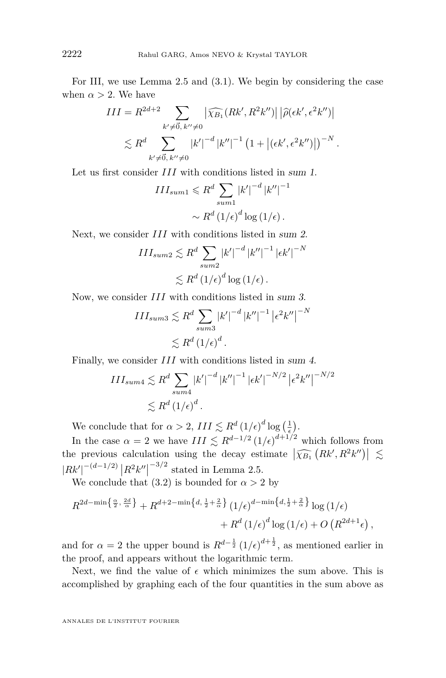For III, we use Lemma [2.5](#page-17-0) and [\(3.1\)](#page-21-0). We begin by considering the case when  $\alpha > 2$ . We have

$$
III = R^{2d+2} \sum_{k' \neq \vec{0}, k'' \neq 0} |\widehat{\chi_{B_1}}(Rk', R^2k'')| |\widehat{\rho}(\epsilon k', \epsilon^2 k'')|
$$
  

$$
\lesssim R^d \sum_{k' \neq \vec{0}, k'' \neq 0} |k'|^{-d} |k''|^{-1} (1 + |(\epsilon k', \epsilon^2 k'')|)^{-N}.
$$

Let us first consider *III* with conditions listed in sum 1.

$$
III_{sum1} \leq R^d \sum_{sum1} |k'|^{-d} |k''|^{-1}
$$

$$
\sim R^d (1/\epsilon)^d \log(1/\epsilon).
$$

Next, we consider *III* with conditions listed in sum 2.

$$
III_{sum2} \lesssim R^d \sum_{sum2} |k'|^{-d} |k''|^{-1} |\epsilon k'|^{-N}
$$
  

$$
\lesssim R^d (1/\epsilon)^d \log(1/\epsilon).
$$

Now, we consider *III* with conditions listed in sum 3.

$$
III_{sum3} \lesssim R^d \sum_{sum3} |k'|^{-d} |k''|^{-1} |\epsilon^2 k''|^{-N}
$$
  

$$
\lesssim R^d (1/\epsilon)^d.
$$

Finally, we consider *III* with conditions listed in sum 4.

$$
III_{sum4} \lesssim R^d \sum_{sum4} |k'|^{-d} |k''|^{-1} |\epsilon k'|^{-N/2} |\epsilon^2 k''|^{-N/2}
$$
  

$$
\lesssim R^d (1/\epsilon)^d.
$$

We conclude that for  $\alpha > 2$ ,  $III \lesssim R^d \left(1/\epsilon\right)^d \log\left(\frac{1}{\epsilon}\right)$ .

In the case  $\alpha = 2$  we have  $III \leq R^{d-1/2} (1/\epsilon)^{d+1/2}$  which follows from the previous calculation using the decay estimate  $|\widehat{\chi_{B_1}}(Rk', R^2k'')| \lesssim$  $|Rk'|^{-(d-1/2)} |R^2k''|$  $-3/2$  stated in Lemma [2.5.](#page-17-0)

We conclude that [\(3.2\)](#page-21-0) is bounded for  $\alpha > 2$  by

$$
R^{2d-\min\left\{\frac{\alpha}{2},\frac{2d}{\alpha}\right\}} + R^{d+2-\min\left\{d,\frac{1}{2}+\frac{2}{\alpha}\right\}} \left(1/\epsilon\right)^{d-\min\left\{d,\frac{1}{2}+\frac{2}{\alpha}\right\}} \log\left(1/\epsilon\right) + R^d \left(1/\epsilon\right)^d \log\left(1/\epsilon\right) + O\left(R^{2d+1}\epsilon\right),
$$

and for  $\alpha = 2$  the upper bound is  $R^{d-\frac{1}{2}}(1/\epsilon)^{d+\frac{1}{2}}$ , as mentioned earlier in the proof, and appears without the logarithmic term.

Next, we find the value of  $\epsilon$  which minimizes the sum above. This is accomplished by graphing each of the four quantities in the sum above as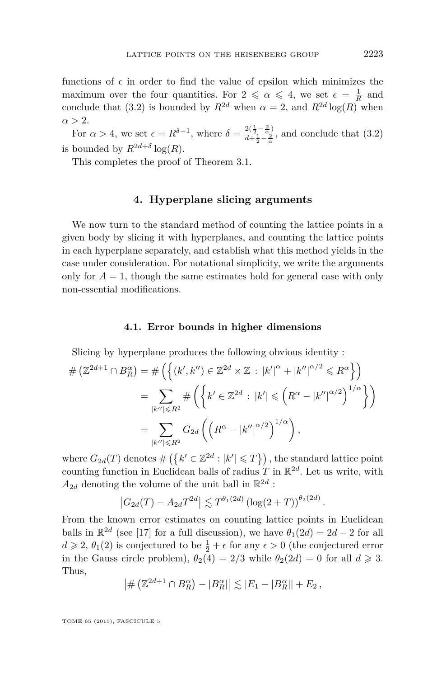<span id="page-25-0"></span>functions of  $\epsilon$  in order to find the value of epsilon which minimizes the maximum over the four quantities. For  $2 \le \alpha \le 4$ , we set  $\epsilon = \frac{1}{R}$  and conclude that [\(3.2\)](#page-21-0) is bounded by  $R^{2d}$  when  $\alpha = 2$ , and  $R^{2d} \log(R)$  when  $\alpha > 2$ .

For  $\alpha > 4$ , we set  $\epsilon = R^{\delta-1}$ , where  $\delta = \frac{2(\frac{1}{2} - \frac{2}{\alpha})}{d + \frac{1}{2} - \frac{2}{\alpha}}$  $\frac{2(\frac{2}{2} - \frac{2}{\alpha})}{d + \frac{1}{2} - \frac{2}{\alpha}}$ , and conclude that [\(3.2\)](#page-21-0) is bounded by  $R^{2d+\delta} \log(R)$ *.* 

This completes the proof of Theorem [3.1.](#page-20-0)

#### **4. Hyperplane slicing arguments**

We now turn to the standard method of counting the lattice points in a given body by slicing it with hyperplanes, and counting the lattice points in each hyperplane separately, and establish what this method yields in the case under consideration. For notational simplicity, we write the arguments only for  $A = 1$ , though the same estimates hold for general case with only non-essential modifications.

#### **4.1. Error bounds in higher dimensions**

Slicing by hyperplane produces the following obvious identity :

$$
\# (\mathbb{Z}^{2d+1} \cap B_R^{\alpha}) = \# \left( \left\{ (k', k'') \in \mathbb{Z}^{2d} \times \mathbb{Z} : |k'|^{\alpha} + |k''|^{\alpha/2} \leq R^{\alpha} \right\} \right)
$$
  

$$
= \sum_{|k''| \leq R^2} \# \left( \left\{ k' \in \mathbb{Z}^{2d} : |k'| \leq (R^{\alpha} - |k''|^{\alpha/2})^{1/\alpha} \right\} \right)
$$
  

$$
= \sum_{|k''| \leq R^2} G_{2d} \left( \left( R^{\alpha} - |k''|^{\alpha/2} \right)^{1/\alpha} \right),
$$

where  $G_{2d}(T)$  denotes  $\#\left(\left\{k' \in \mathbb{Z}^{2d} : |k'| \leq T\right\}\right)$ , the standard lattice point counting function in Euclidean balls of radius  $T$  in  $\mathbb{R}^{2d}$ . Let us write, with  $A_{2d}$  denoting the volume of the unit ball in  $\mathbb{R}^{2d}$ :

$$
|G_{2d}(T) - A_{2d}T^{2d}| \lesssim T^{\theta_1(2d)} (\log(2+T))^{\theta_2(2d)}.
$$

From the known error estimates on counting lattice points in Euclidean balls in  $\mathbb{R}^{2d}$  (see [\[17\]](#page-34-0) for a full discussion), we have  $\theta_1(2d) = 2d - 2$  for all  $d \geqslant 2$ ,  $\theta_1(2)$  is conjectured to be  $\frac{1}{2} + \epsilon$  for any  $\epsilon > 0$  (the conjectured error in the Gauss circle problem),  $\theta_2(4) = 2/3$  while  $\theta_2(2d) = 0$  for all  $d \ge 3$ . Thus,

$$
\left| \# \left( \mathbb{Z}^{2d+1} \cap B_R^{\alpha} \right) - |B_R^{\alpha}| \right| \lesssim |E_1 - |B_R^{\alpha}| + E_2,
$$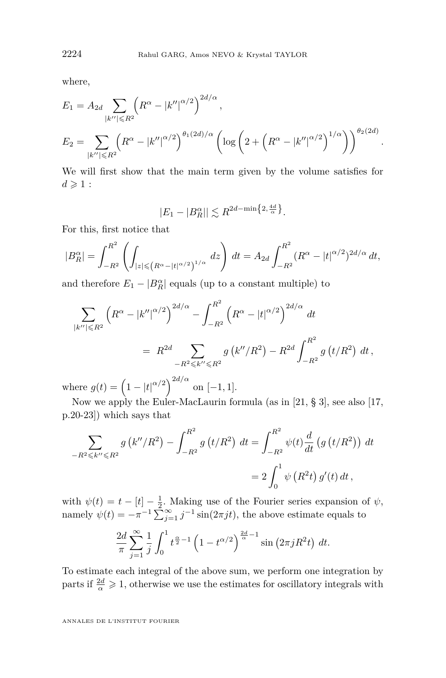where,

$$
E_1 = A_{2d} \sum_{|k''| \le R^2} \left( R^{\alpha} - |k''|^{\alpha/2} \right)^{2d/\alpha},
$$
  
\n
$$
E_2 = \sum_{|k''| \le R^2} \left( R^{\alpha} - |k''|^{\alpha/2} \right)^{\theta_1(2d)/\alpha} \left( \log \left( 2 + \left( R^{\alpha} - |k''|^{\alpha/2} \right)^{1/\alpha} \right) \right)^{\theta_2(2d)}.
$$

We will first show that the main term given by the volume satisfies for  $d \geqslant 1$ :

$$
|E_1 - |B_R^{\alpha}| \lesssim R^{2d - \min\left\{2, \frac{4d}{\alpha}\right\}}.
$$

For this, first notice that

$$
|B_R^{\alpha}| = \int_{-R^2}^{R^2} \left( \int_{|z| \leq (R^{\alpha} - |t|^{\alpha/2})^{1/\alpha}} dz \right) dt = A_{2d} \int_{-R^2}^{R^2} (R^{\alpha} - |t|^{\alpha/2})^{2d/\alpha} dt,
$$

and therefore  $E_1 - |B_R^{\alpha}|$  equals (up to a constant multiple) to

$$
\sum_{|k''| \le R^2} \left( R^{\alpha} - |k''|^{\alpha/2} \right)^{2d/\alpha} - \int_{-R^2}^{R^2} \left( R^{\alpha} - |t|^{\alpha/2} \right)^{2d/\alpha} dt
$$
  
=  $R^{2d} \sum_{-R^2 \le k'' \le R^2} g\left( k''/R^2 \right) - R^{2d} \int_{-R^2}^{R^2} g\left( t/R^2 \right) dt$ ,

where  $g(t) = (1 - |t|^{\alpha/2})^{2d/\alpha}$  on [-1, 1].

Now we apply the Euler-MacLaurin formula (as in [\[21,](#page-34-0) § 3], see also [\[17,](#page-34-0) p.20-23]) which says that

$$
\sum_{-R^2 \leq k'' \leq R^2} g(k''/R^2) - \int_{-R^2}^{R^2} g(t/R^2) dt = \int_{-R^2}^{R^2} \psi(t) \frac{d}{dt} (g(t/R^2)) dt
$$
  
=  $2 \int_0^1 \psi(R^2t) g'(t) dt$ ,

with  $\psi(t) = t - [t] - \frac{1}{2}$ . Making use of the Fourier series expansion of  $\psi$ , namely  $\psi(t) = -\pi^{-1} \sum_{j=1}^{\infty} j^{-1} \sin(2\pi j t)$ , the above estimate equals to

$$
\frac{2d}{\pi} \sum_{j=1}^{\infty} \frac{1}{j} \int_0^1 t^{\frac{\alpha}{2}-1} \left(1 - t^{\alpha/2}\right)^{\frac{2d}{\alpha}-1} \sin\left(2\pi j R^2 t\right) dt.
$$

To estimate each integral of the above sum, we perform one integration by parts if  $\frac{2d}{\alpha} \geqslant 1$ , otherwise we use the estimates for oscillatory integrals with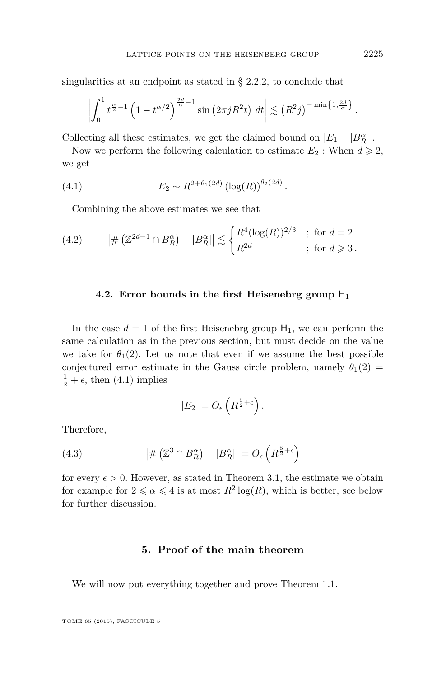<span id="page-27-0"></span>singularities at an endpoint as stated in § [2.2.2,](#page-13-0) to conclude that

$$
\left|\int_0^1 t^{\frac{\alpha}{2}-1} \left(1-t^{\alpha/2}\right)^{\frac{2d}{\alpha}-1} \sin\left(2\pi j R^2 t\right) dt\right| \lesssim \left(R^2 j\right)^{-\min\left\{1,\frac{2d}{\alpha}\right\}}.
$$

Collecting all these estimates, we get the claimed bound on  $|E_1 - |B_R^{\alpha}|$ .

Now we perform the following calculation to estimate  $E_2$ : When  $d \geq 2$ , we get

(4.1) 
$$
E_2 \sim R^{2+\theta_1(2d)} \left( \log(R) \right)^{\theta_2(2d)}.
$$

Combining the above estimates we see that

(4.2) 
$$
|\#(\mathbb{Z}^{2d+1} \cap B_R^{\alpha}) - |B_R^{\alpha}|| \lesssim \begin{cases} R^4 (\log(R))^{2/3} & ; \text{ for } d = 2\\ R^{2d} & ; \text{ for } d \geq 3 \end{cases}
$$

#### **4.2. Error bounds in the first Heisenebrg group**  $H_1$

In the case  $d = 1$  of the first Heisenebrg group  $H_1$ , we can perform the same calculation as in the previous section, but must decide on the value we take for  $\theta_1(2)$ . Let us note that even if we assume the best possible conjectured error estimate in the Gauss circle problem, namely  $\theta_1(2)$  $\frac{1}{2} + \epsilon$ , then (4.1) implies

$$
|E_2| = O_{\epsilon}\left(R^{\frac{5}{2} + \epsilon}\right).
$$

Therefore,

(4.3) 
$$
\left| \# \left( \mathbb{Z}^3 \cap B_R^{\alpha} \right) - |B_R^{\alpha}| \right| = O_{\epsilon} \left( R^{\frac{5}{2} + \epsilon} \right)
$$

for every  $\epsilon > 0$ . However, as stated in Theorem [3.1,](#page-20-0) the estimate we obtain for example for  $2 \le \alpha \le 4$  is at most  $R^2 \log(R)$ , which is better, see below for further discussion.

#### **5. Proof of the main theorem**

We will now put everything together and prove Theorem [1.1.](#page-6-0)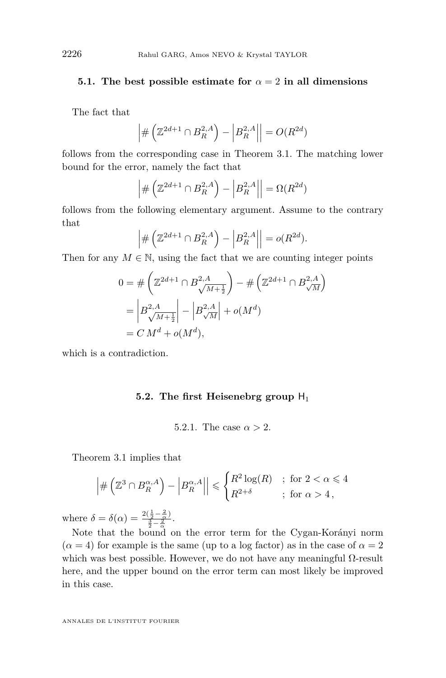#### **5.1.** The best possible estimate for  $\alpha = 2$  in all dimensions

The fact that

$$
\left| \# \left( \mathbb{Z}^{2d+1} \cap B_R^{2,A} \right) - \left| B_R^{2,A} \right| \right| = O(R^{2d})
$$

follows from the corresponding case in Theorem [3.1.](#page-20-0) The matching lower bound for the error, namely the fact that

$$
\left| \# \left( \mathbb{Z}^{2d+1} \cap B_R^{2,A} \right) - \left| B_R^{2,A} \right| \right| = \Omega(R^{2d})
$$

follows from the following elementary argument. Assume to the contrary that

$$
\left| \# \left( \mathbb{Z}^{2d+1} \cap B_R^{2,A} \right) - \left| B_R^{2,A} \right| \right| = o(R^{2d}).
$$

Then for any  $M \in \mathbb{N}$ , using the fact that we are counting integer points

$$
0 = # \left( \mathbb{Z}^{2d+1} \cap B^{2,A}_{\sqrt{M+\frac{1}{2}}} \right) - # \left( \mathbb{Z}^{2d+1} \cap B^{2,A}_{\sqrt{M}} \right)
$$
  
=  $\left| B^{2,A}_{\sqrt{M+\frac{1}{2}}} \right| - \left| B^{2,A}_{\sqrt{M}} \right| + o(M^d)$   
=  $C M^d + o(M^d)$ ,

which is a contradiction.

#### **5.2.** The first Heisenebrg group  $H_1$

5.2.1. The case  $\alpha > 2$ .

Theorem [3.1](#page-20-0) implies that

$$
\left| \#\left(\mathbb{Z}^3 \cap B_R^{\alpha, A}\right) - \left|B_R^{\alpha, A}\right| \right| \leqslant \begin{cases} R^2 \log(R) & ; \text{ for } 2 < \alpha \leqslant 4\\ R^{2+\delta} & ; \text{ for } \alpha > 4, \end{cases}
$$

where  $\delta = \delta(\alpha) = \frac{2(\frac{1}{2} - \frac{2}{\alpha})}{\frac{3}{2} - \frac{2}{\alpha}}$ .

Note that the bound on the error term for the Cygan-Korányi norm  $(\alpha = 4)$  for example is the same (up to a log factor) as in the case of  $\alpha = 2$ which was best possible. However, we do not have any meaningful  $\Omega$ -result here, and the upper bound on the error term can most likely be improved in this case.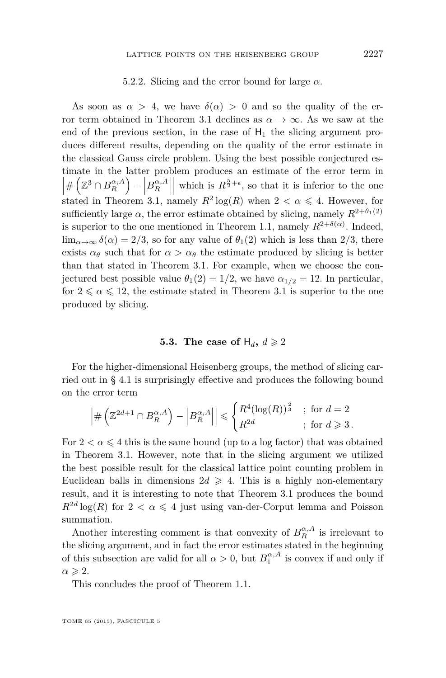#### 5.2.2. Slicing and the error bound for large *α*.

As soon as  $\alpha > 4$ , we have  $\delta(\alpha) > 0$  and so the quality of the er-ror term obtained in Theorem [3.1](#page-20-0) declines as  $\alpha \to \infty$ . As we saw at the end of the previous section, in the case of  $H_1$  the slicing argument produces different results, depending on the quality of the error estimate in the classical Gauss circle problem. Using the best possible conjectured estimate in the latter problem produces an estimate of the error term in  $\left| \# \left( \mathbb{Z}^3 \cap B^{\alpha,A}_R \right) - \left| B^{\alpha,A}_R \right| \right|$  which is  $R^{\frac{5}{2}+\epsilon}$ , so that it is inferior to the one  $\begin{array}{lll}\n\text{if } & n & \text{if } \\
\text{if } & \text{if } \\
\text{if } & n & \text{if } \\
\text{if } & n & \text{if } \\
\text{if } & n & \text{if } \\
\text{if } & n & \text{if } \\
\text{if } & n & \text{if } \\
\text{if } & n & \text{if } \\
\text{if } & n & \text{if } \\
\text{if } & n & \text{if } \\
\text{if } & n & \text{if } \\
\text{if } & n & \text{if } \\
\text{if } & n & \text{if } \\
\text{if } & n & \text{if } \\
\text{if } & n & \text{if } \\
\text{$ sufficiently large  $\alpha$ , the error estimate obtained by slicing, namely  $R^{2+\theta_1(2)}$ is superior to the one mentioned in Theorem [1.1,](#page-6-0) namely  $R^{2+\delta(\alpha)}$ . Indeed,  $\lim_{\alpha \to \infty} \delta(\alpha) = 2/3$ , so for any value of  $\theta_1(2)$  which is less than 2/3, there exists  $\alpha_{\theta}$  such that for  $\alpha > \alpha_{\theta}$  the estimate produced by slicing is better than that stated in Theorem [3.1.](#page-20-0) For example, when we choose the conjectured best possible value  $\theta_1(2) = 1/2$ , we have  $\alpha_{1/2} = 12$ . In particular, for  $2 \le \alpha \le 12$ , the estimate stated in Theorem [3.1](#page-20-0) is superior to the one produced by slicing.

#### **5.3.** The case of  $H_d$ ,  $d \ge 2$

For the higher-dimensional Heisenberg groups, the method of slicing carried out in § [4.1](#page-25-0) is surprisingly effective and produces the following bound on the error term

$$
\left| \# \left( \mathbb{Z}^{2d+1} \cap B_R^{\alpha, A} \right) - \left| B_R^{\alpha, A} \right| \right| \leqslant \begin{cases} R^4 (\log(R))^{\frac{2}{3}} & ; \text{ for } d = 2 \\ R^{2d} & ; \text{ for } d \geqslant 3 \,. \end{cases}
$$

For  $2 < \alpha \leq 4$  this is the same bound (up to a log factor) that was obtained in Theorem [3.1.](#page-20-0) However, note that in the slicing argument we utilized the best possible result for the classical lattice point counting problem in Euclidean balls in dimensions  $2d \geq 4$ . This is a highly non-elementary result, and it is interesting to note that Theorem [3.1](#page-20-0) produces the bound  $R^{2d} \log(R)$  for  $2 < \alpha \leq 4$  just using van-der-Corput lemma and Poisson summation.

Another interesting comment is that convexity of  $B_R^{\alpha,A}$  is irrelevant to the slicing argument, and in fact the error estimates stated in the beginning of this subsection are valid for all  $\alpha > 0$ , but  $B_1^{\alpha, A}$  is convex if and only if  $\alpha \geqslant 2$ .

This concludes the proof of Theorem [1.1.](#page-6-0)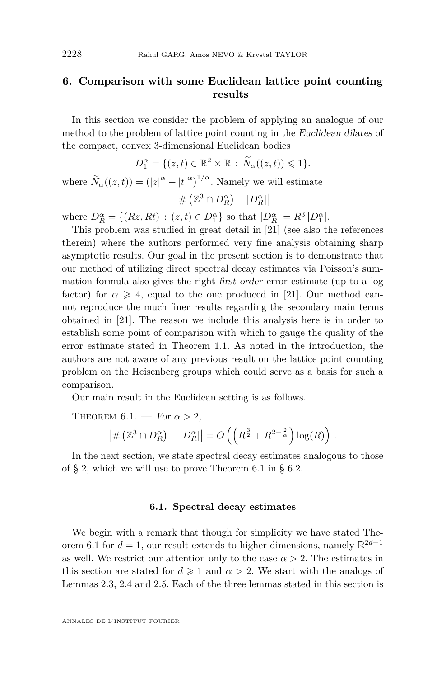#### <span id="page-30-0"></span>**6. Comparison with some Euclidean lattice point counting results**

In this section we consider the problem of applying an analogue of our method to the problem of lattice point counting in the Euclidean dilates of the compact, convex 3-dimensional Euclidean bodies

$$
D_1^{\alpha} = \{ (z, t) \in \mathbb{R}^2 \times \mathbb{R} : \widetilde{N}_{\alpha}((z, t)) \leq 1 \}.
$$

where  $\widetilde{N}_{\alpha}((z,t)) = (|z|^{\alpha} + |t|^{\alpha})^{1/\alpha}$ . Namely we will estimate  $\left| \# \left( \mathbb{Z}^3 \cap D_R^{\alpha} \right) - |D_R^{\alpha}| \right|$ 

where  $D_R^{\alpha} = \{(Rz, Rt) : (z, t) \in D_1^{\alpha}\}\$  so that  $|D_R^{\alpha}| = R^3 |D_1^{\alpha}|$ .

This problem was studied in great detail in [\[21\]](#page-34-0) (see also the references therein) where the authors performed very fine analysis obtaining sharp asymptotic results. Our goal in the present section is to demonstrate that our method of utilizing direct spectral decay estimates via Poisson's summation formula also gives the right first order error estimate (up to a log factor) for  $\alpha \geq 4$ , equal to the one produced in [\[21\]](#page-34-0). Our method cannot reproduce the much finer results regarding the secondary main terms obtained in [\[21\]](#page-34-0). The reason we include this analysis here is in order to establish some point of comparison with which to gauge the quality of the error estimate stated in Theorem [1.1.](#page-6-0) As noted in the introduction, the authors are not aware of any previous result on the lattice point counting problem on the Heisenberg groups which could serve as a basis for such a comparison.

Our main result in the Euclidean setting is as follows.

THEOREM 6.1. – For 
$$
\alpha > 2
$$
,  
\n
$$
|\#(\mathbb{Z}^3 \cap D_R^{\alpha}) - |D_R^{\alpha}|| = O\left(\left(R^{\frac{3}{2}} + R^{2-\frac{2}{\alpha}}\right) \log(R)\right).
$$

In the next section, we state spectral decay estimates analogous to those of § [2,](#page-7-0) which we will use to prove Theorem 6.1 in § [6.2.](#page-32-0)

#### **6.1. Spectral decay estimates**

We begin with a remark that though for simplicity we have stated Theorem 6.1 for  $d = 1$ , our result extends to higher dimensions, namely  $\mathbb{R}^{2d+1}$ as well. We restrict our attention only to the case  $\alpha > 2$ . The estimates in this section are stated for  $d \geq 1$  and  $\alpha > 2$ . We start with the analogs of Lemmas [2.3,](#page-12-0) [2.4](#page-15-0) and [2.5.](#page-17-0) Each of the three lemmas stated in this section is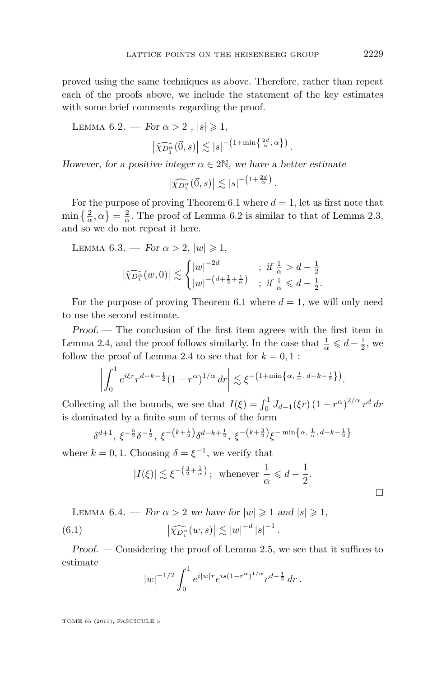<span id="page-31-0"></span>proved using the same techniques as above. Therefore, rather than repeat each of the proofs above, we include the statement of the key estimates with some brief comments regarding the proof.

LEMMA  $6.2.$  – For  $\alpha > 2$ ,  $|s| \geq 1$ ,

$$
\left|\widehat{\chi_{D_1^{\alpha}}}(\vec{0},s)\right| \lesssim |s|^{-\left(1+\min\left\{\frac{2d}{\alpha},\alpha\right\}\right)}.
$$

However, for a positive integer  $\alpha \in 2\mathbb{N}$ , we have a better estimate

$$
\left|\widehat{\chi_{D_1^{\alpha}}}(\vec{0},s)\right| \lesssim |s|^{-\left(1+\frac{2d}{\alpha}\right)}.
$$

For the purpose of proving Theorem [6.1](#page-30-0) where  $d = 1$ , let us first note that  $\min\left\{\frac{2}{\alpha},\alpha\right\}=\frac{2}{\alpha}$ . The proof of Lemma 6.2 is similar to that of Lemma [2.3,](#page-12-0) and so we do not repeat it here.

LEMMA 6.3. — For 
$$
\alpha > 2
$$
,  $|w| \ge 1$ ,  
\n
$$
\left| \widehat{\chi_{D_1^{\alpha}}}(w,0) \right| \lesssim \begin{cases} |w|^{-2d} & ; \text{ if } \frac{1}{\alpha} > d - \frac{1}{2} \\ |w|^{-(d + \frac{1}{2} + \frac{1}{\alpha})} & ; \text{ if } \frac{1}{\alpha} \le d - \frac{1}{2}. \end{cases}
$$

For the purpose of proving Theorem [6.1](#page-30-0) where  $d = 1$ , we will only need to use the second estimate.

Proof. — The conclusion of the first item agrees with the first item in Lemma [2.4,](#page-15-0) and the proof follows similarly. In the case that  $\frac{1}{\alpha} \leqslant d - \frac{1}{2}$ , we follow the proof of Lemma [2.4](#page-15-0) to see that for  $k = 0, 1$ :

$$
\left| \int_0^1 e^{i\xi r} r^{d-k-\frac{1}{2}} (1-r^{\alpha})^{1/\alpha} dr \right| \lesssim \xi^{-\left(1+\min\{\alpha,\frac{1}{\alpha},d-k-\frac{1}{2}\}\right)}.
$$

Collecting all the bounds, we see that  $I(\xi) = \int_0^1 J_{d-1}(\xi r) (1 - r^{\alpha})^{2/\alpha} r^d dr$ is dominated by a finite sum of terms of the form

$$
\delta^{d+1}, \xi^{-\frac{5}{2}} \delta^{-\frac{1}{2}}, \xi^{-\left(k+\frac{1}{2}\right)} \delta^{d-k+\frac{1}{2}}, \xi^{-\left(k+\frac{3}{2}\right)} \xi^{-\min\left\{\alpha, \frac{1}{\alpha}, d-k-\frac{1}{2}\right\}}
$$

where  $k = 0, 1$ . Choosing  $\delta = \xi^{-1}$ , we verify that

$$
|I(\xi)| \lesssim \xi^{-\left(\frac{3}{2} + \frac{1}{\alpha}\right)}; \text{ whenever } \frac{1}{\alpha} \leq d - \frac{1}{2}.
$$

LEMMA 6.4. — For  $\alpha > 2$  we have for  $|w| \geq 1$  and  $|s| \geq 1$ , (6.1)  $\left| \widehat{\chi_{D_1^{\alpha}}}(w, s) \right| \lesssim |w|^{-d} |s|^{-1}.$ 

Proof. — Considering the proof of Lemma [2.5,](#page-17-0) we see that it suffices to estimate

$$
|w|^{-1/2} \int_0^1 e^{i|w|} e^{is(1-r^{\alpha})^{1/\alpha}} r^{d-\frac{1}{2}} dr.
$$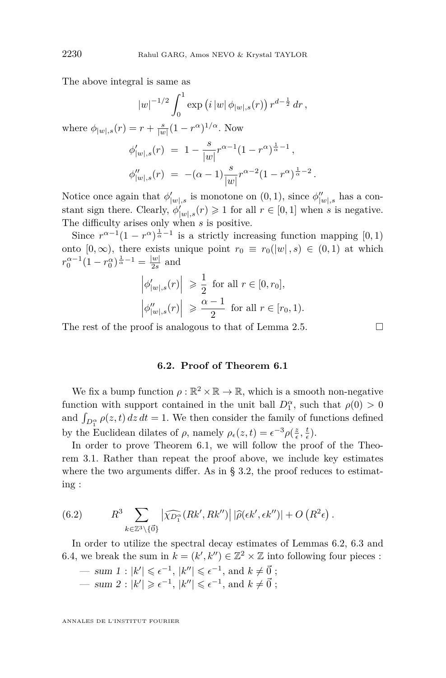The above integral is same as

$$
|w|^{-1/2} \int_0^1 \exp (i |w| \phi_{|w|,s}(r)) r^{d-\frac{1}{2}} dr,
$$

where  $\phi_{|w|,s}(r) = r + \frac{s}{|w|}(1 - r^{\alpha})^{1/\alpha}$ . Now

$$
\begin{array}{lcl} \phi'_{|w|,s}(r) & = & 1 - \frac{s}{|w|} r^{\alpha-1} (1-r^{\alpha})^{\frac{1}{\alpha}-1} \, , \\ \phi''_{|w|,s}(r) & = & - (\alpha-1) \frac{s}{|w|} r^{\alpha-2} (1-r^{\alpha})^{\frac{1}{\alpha}-2} \, . \end{array}
$$

Notice once again that  $\phi'_{|w|,s}$  is monotone on  $(0,1)$ , since  $\phi''_{|w|,s}$  has a constant sign there. Clearly,  $\phi'_{|w|,s}(r) \geq 1$  for all  $r \in [0,1]$  when *s* is negative. The difficulty arises only when *s* is positive.

Since  $r^{\alpha-1}(1 - r^{\alpha})^{\frac{1}{\alpha}-1}$  is a strictly increasing function mapping [0, 1) onto  $[0, \infty)$ , there exists unique point  $r_0 \equiv r_0(|w|, s) \in (0, 1)$  at which  $r_0^{\alpha-1}(1-r_0^{\alpha})^{\frac{1}{\alpha}-1} = \frac{|w|}{2s}$  $\frac{w_1}{2s}$  and

$$
\left| \phi'_{|w|,s}(r) \right| \geq \frac{1}{2} \text{ for all } r \in [0, r_0],
$$
  

$$
\left| \phi''_{|w|,s}(r) \right| \geq \frac{\alpha - 1}{2} \text{ for all } r \in [r_0, 1).
$$

The rest of the proof is analogous to that of Lemma [2.5.](#page-17-0)  $\Box$ 

#### **6.2. Proof of Theorem [6.1](#page-30-0)**

We fix a bump function  $\rho : \mathbb{R}^2 \times \mathbb{R} \to \mathbb{R}$ , which is a smooth non-negative function with support contained in the unit ball  $D_1^{\alpha}$ , such that  $\rho(0) > 0$ and  $\int_{D_1^{\alpha}} \rho(z, t) dz dt = 1$ . We then consider the family of functions defined by the Euclidean dilates of  $\rho$ , namely  $\rho_{\epsilon}(z,t) = \epsilon^{-3} \rho(\frac{z}{\epsilon}, \frac{t}{\epsilon})$ .

In order to prove Theorem [6.1,](#page-30-0) we will follow the proof of the Theorem [3.1.](#page-20-0) Rather than repeat the proof above, we include key estimates where the two arguments differ. As in  $\S 3.2$ , the proof reduces to estimating :

(6.2) 
$$
R^3 \sum_{k \in \mathbb{Z}^3 \backslash \{\vec{0}\}} \left| \widehat{\chi_{D_1^{\alpha}}}(Rk', Rk'') \right| |\widehat{\rho}(\epsilon k', \epsilon k'')| + O\left(R^2 \epsilon\right).
$$

In order to utilize the spectral decay estimates of Lemmas [6.2,](#page-31-0) [6.3](#page-31-0) and [6.4,](#page-31-0) we break the sum in  $k = (k', k'') \in \mathbb{Z}^2 \times \mathbb{Z}$  into following four pieces :

$$
-\sum_{k=1}^{\infty} \frac{1}{k!} |k'| \leq \epsilon^{-1}, |k''| \leq \epsilon^{-1}, \text{ and } k \neq \vec{0};
$$
  

$$
-\sum_{k=1}^{\infty} |k'| \geq \epsilon^{-1}, |k''| \leq \epsilon^{-1}, \text{ and } k \neq \vec{0};
$$

<span id="page-32-0"></span>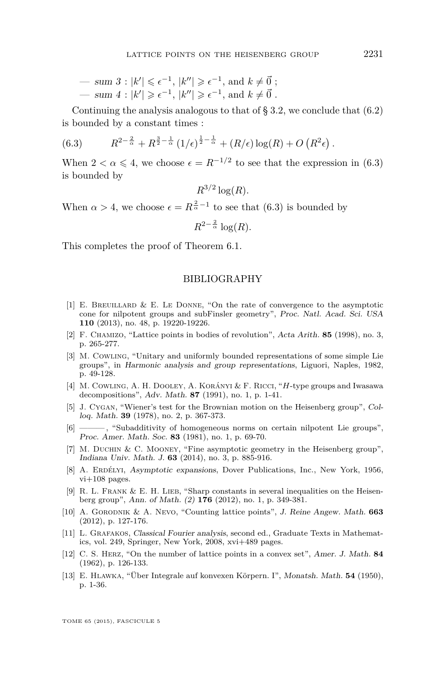<span id="page-33-0"></span>
$$
-\sum_{k=1}^{\infty} \mathbf{S} = \mathbf{S} \mathbf{S} \mathbf{S} \mathbf{S} \mathbf{S} \mathbf{S} \mathbf{S} \mathbf{S} \mathbf{S} \mathbf{S} \mathbf{S} \mathbf{S} \mathbf{S} \mathbf{S} \mathbf{S} \mathbf{S} \mathbf{S} \mathbf{S} \mathbf{S} \mathbf{S} \mathbf{S} \mathbf{S} \mathbf{S} \mathbf{S} \mathbf{S} \mathbf{S} \mathbf{S} \mathbf{S} \mathbf{S} \mathbf{S} \mathbf{S} \mathbf{S} \mathbf{S} \mathbf{S} \mathbf{S} \mathbf{S} \mathbf{S} \mathbf{S} \mathbf{S} \mathbf{S} \mathbf{S} \mathbf{S} \mathbf{S} \mathbf{S} \mathbf{S} \mathbf{S} \mathbf{S} \mathbf{S} \mathbf{S} \mathbf{S} \mathbf{S} \mathbf{S} \mathbf{S} \mathbf{S} \mathbf{S} \mathbf{S} \mathbf{S} \mathbf{S} \mathbf{S} \mathbf{S} \mathbf{S} \mathbf{S} \mathbf{S} \mathbf{S} \mathbf{S} \mathbf{S} \mathbf{S} \mathbf{S} \mathbf{S} \mathbf{S} \mathbf{S} \mathbf{S} \mathbf{S} \mathbf{S} \mathbf{S} \mathbf{S} \mathbf{S} \mathbf{S} \mathbf{S} \mathbf{S} \mathbf{S} \mathbf{S} \mathbf{S} \mathbf{S} \mathbf{S} \mathbf{S} \mathbf{S} \mathbf{S} \mathbf{S} \mathbf{S} \mathbf{S} \mathbf{S} \mathbf{S} \mathbf{S} \mathbf{S} \mathbf{S} \mathbf{S} \mathbf{S} \mathbf{S} \mathbf{S} \mathbf{S} \mathbf{S} \mathbf{S} \mathbf{S} \mathbf{S} \mathbf{S} \mathbf{S} \mathbf{S} \mathbf{S} \mathbf{S} \mathbf{S} \mathbf{S} \mathbf{S} \mathbf{S} \mathbf{S} \mathbf{S} \mathbf{S} \mathbf{S} \mathbf{S} \mathbf{S} \mathbf{S} \mathbf{S} \mathbf{S} \math
$$

Continuing the analysis analogous to that of  $\S 3.2$ , we conclude that  $(6.2)$ is bounded by a constant times :

(6.3) 
$$
R^{2-\frac{2}{\alpha}} + R^{\frac{3}{2}-\frac{1}{\alpha}} (1/\epsilon)^{\frac{1}{2}-\frac{1}{\alpha}} + (R/\epsilon) \log(R) + O(R^2\epsilon)
$$

When  $2 < \alpha \leq 4$ , we choose  $\epsilon = R^{-1/2}$  to see that the expression in (6.3) is bounded by

 $R^{3/2} \log(R)$ .

When  $\alpha > 4$ , we choose  $\epsilon = R^{\frac{2}{\alpha}-1}$  to see that (6.3) is bounded by

$$
R^{2-\frac{2}{\alpha}}\log(R).
$$

This completes the proof of Theorem [6.1.](#page-30-0)

#### BIBLIOGRAPHY

- [1] E. BREUILLARD & E. LE DONNE, "On the rate of convergence to the asymptotic cone for nilpotent groups and subFinsler geometry", Proc. Natl. Acad. Sci. USA **110** (2013), no. 48, p. 19220-19226.
- [2] F. Chamizo, "Lattice points in bodies of revolution", Acta Arith. **85** (1998), no. 3, p. 265-277.
- [3] M. Cowling, "Unitary and uniformly bounded representations of some simple Lie groups", in Harmonic analysis and group representations, Liguori, Naples, 1982, p. 49-128.
- [4] M. Cowling, A. H. Dooley, A. Korányi & F. Ricci, "*H*-type groups and Iwasawa decompositions", Adv. Math. **87** (1991), no. 1, p. 1-41.
- [5] J. Cygan, "Wiener's test for the Brownian motion on the Heisenberg group", Colloq. Math. **39** (1978), no. 2, p. 367-373.
- [6] ——— , "Subadditivity of homogeneous norms on certain nilpotent Lie groups", Proc. Amer. Math. Soc. **83** (1981), no. 1, p. 69-70.
- [7] M. DUCHIN & C. MOONEY, "Fine asymptotic geometry in the Heisenberg group", Indiana Univ. Math. J. **63** (2014), no. 3, p. 885-916.
- [8] A. Erdélyi, Asymptotic expansions, Dover Publications, Inc., New York, 1956, vi+108 pages.
- [9] R. L. FRANK & E. H. LIEB, "Sharp constants in several inequalities on the Heisenberg group", Ann. of Math. (2) **176** (2012), no. 1, p. 349-381.
- [10] A. Gorodnik & A. Nevo, "Counting lattice points", J. Reine Angew. Math. **663** (2012), p. 127-176.
- [11] L. Grafakos, Classical Fourier analysis, second ed., Graduate Texts in Mathematics, vol. 249, Springer, New York, 2008, xvi+489 pages.
- [12] C. S. Herz, "On the number of lattice points in a convex set", Amer. J. Math. **84** (1962), p. 126-133.
- [13] E. Hlawka, "Über Integrale auf konvexen Körpern. I", Monatsh. Math. **54** (1950), p. 1-36.

*.*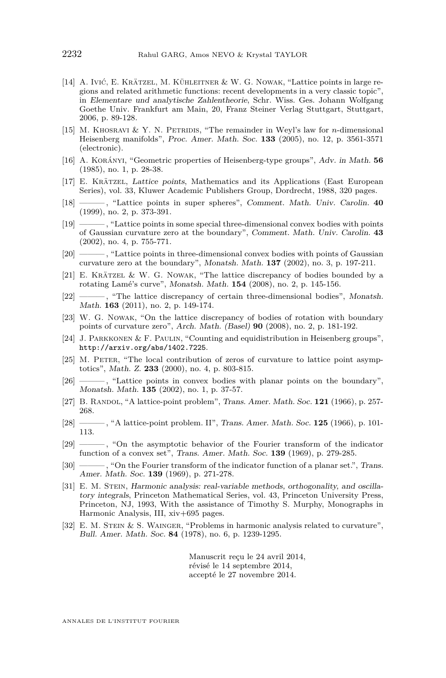- <span id="page-34-0"></span>[14] A. Ivić, E. Krätzel, M. Kühleitner & W. G. Nowak, "Lattice points in large regions and related arithmetic functions: recent developments in a very classic topic", in Elementare und analytische Zahlentheorie, Schr. Wiss. Ges. Johann Wolfgang Goethe Univ. Frankfurt am Main, 20, Franz Steiner Verlag Stuttgart, Stuttgart, 2006, p. 89-128.
- [15] M. KHOSRAVI & Y. N. PETRIDIS, "The remainder in Weyl's law for *n*-dimensional Heisenberg manifolds", Proc. Amer. Math. Soc. **133** (2005), no. 12, p. 3561-3571 (electronic).
- [16] A. Korányi, "Geometric properties of Heisenberg-type groups", Adv. in Math. **56** (1985), no. 1, p. 28-38.
- [17] E. Krätzel, Lattice points, Mathematics and its Applications (East European Series), vol. 33, Kluwer Academic Publishers Group, Dordrecht, 1988, 320 pages.
- [18] ——— , "Lattice points in super spheres", Comment. Math. Univ. Carolin. **40** (1999), no. 2, p. 373-391.
- [19] ——— , "Lattice points in some special three-dimensional convex bodies with points of Gaussian curvature zero at the boundary", Comment. Math. Univ. Carolin. **43** (2002), no. 4, p. 755-771.
- [20] ——— , "Lattice points in three-dimensional convex bodies with points of Gaussian curvature zero at the boundary", Monatsh. Math. **137** (2002), no. 3, p. 197-211.
- [21] E. Krätzel & W. G. Nowak, "The lattice discrepancy of bodies bounded by a rotating Lamé's curve", Monatsh. Math. **154** (2008), no. 2, p. 145-156.
- [22] ——— , "The lattice discrepancy of certain three-dimensional bodies", Monatsh. Math. **163** (2011), no. 2, p. 149-174.
- [23] W. G. NOWAK, "On the lattice discrepancy of bodies of rotation with boundary points of curvature zero", Arch. Math. (Basel) **90** (2008), no. 2, p. 181-192.
- [24] J. Parkkonen & F. Paulin, "Counting and equidistribution in Heisenberg groups", <http://arxiv.org/abs/1402.7225>.
- [25] M. PETER, "The local contribution of zeros of curvature to lattice point asymptotics", Math. Z. **233** (2000), no. 4, p. 803-815.
- [26] ——, "Lattice points in convex bodies with planar points on the boundary", Monatsh. Math. **135** (2002), no. 1, p. 37-57.
- [27] B. RANDOL, "A lattice-point problem", Trans. Amer. Math. Soc. **121** (1966), p. 257-268.
- [28] ——— , "A lattice-point problem. II", Trans. Amer. Math. Soc. **125** (1966), p. 101- 113.
- [29] ——— , "On the asymptotic behavior of the Fourier transform of the indicator function of a convex set", Trans. Amer. Math. Soc. **139** (1969), p. 279-285.
- [30] ———, "On the Fourier transform of the indicator function of a planar set.", Trans. Amer. Math. Soc. **139** (1969), p. 271-278.
- [31] E. M. STEIN, Harmonic analysis: real-variable methods, orthogonality, and oscillatory integrals, Princeton Mathematical Series, vol. 43, Princeton University Press, Princeton, NJ, 1993, With the assistance of Timothy S. Murphy, Monographs in Harmonic Analysis, III, xiv+695 pages.
- $[32]$  E. M. STEIN & S. WAINGER, "Problems in harmonic analysis related to curvature", Bull. Amer. Math. Soc. **84** (1978), no. 6, p. 1239-1295.

Manuscrit reçu le 24 avril 2014, révisé le 14 septembre 2014, accepté le 27 novembre 2014.